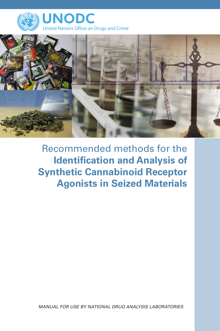



Recommended methods for the **Identification and Analysis of Synthetic Cannabinoid Receptor Agonists in Seized Materials**

*Manual for use by national drug analysis laboratories*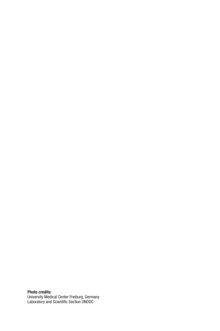Photo credits: University Medical Center Freiburg, Germany Laboratory and Scientific Section UNODC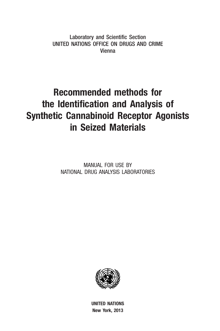Laboratory and Scientific Section United Nations Office on Drugs and Crime Vienna

# Recommended methods for the Identification and Analysis of Synthetic Cannabinoid Receptor Agonists in Seized Materials

MANUAL FOR USE BY NATIONAL DRUG ANALYSIS LABORATORIES



UNITED NATIONS New York, 2013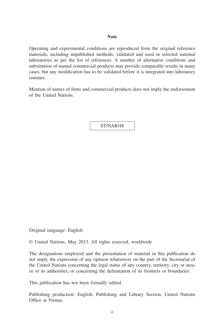#### **Note**

Operating and experimental conditions are reproduced from the original reference materials, including unpublished methods, validated and used in selected national laboratories as per the list of references. A number of alternative conditions and substitution of named commercial products may provide comparable results in many cases, but any modification has to be validated before it is integrated into laboratory routines.

Mention of names of firms and commercial products does not imply the endorsement of the United Nations.

ST/NAR/48

Original language: English

© United Nations, May 2013. All rights reserved, worldwide

The designations employed and the presentation of material in this publication do not imply the expression of any opinion whatsoever on the part of the Secretariat of the United Nations concerning the legal status of any country, territory, city or area, or of its authorities, or concerning the delimitation of its frontiers or boundaries.

This publication has not been formally edited.

Publishing production: English, Publishing and Library Section, United Nations Office at Vienna.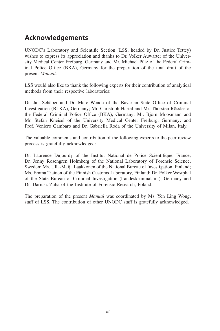# **Acknowledgements**

UNODC's Laboratory and Scientific Section (LSS, headed by Dr. Justice Tettey) wishes to express its appreciation and thanks to Dr. Volker Auwärter of the University Medical Center Freiburg, Germany and Mr. Michael Pütz of the Federal Criminal Police Office (BKA), Germany for the preparation of the final draft of the present *Manual*.

LSS would also like to thank the following experts for their contribution of analytical methods from their respective laboratories:

Dr. Jan Schäper and Dr. Marc Wende of the Bavarian State Office of Criminal Investigation (BLKA), Germany; Mr. Christoph Härtel and Mr. Thorsten Rössler of the Federal Criminal Police Office (BKA), Germany; Mr. Björn Moosmann and Mr. Stefan Kneisel of the University Medical Center Freiburg, Germany; and Prof. Veniero Gambaro and Dr. Gabriella Roda of the University of Milan, Italy.

The valuable comments and contribution of the following experts to the peer-review process is gratefully acknowledged:

Dr. Laurence Dujourdy of the Institut National de Police Scientifique, France; Dr. Jenny Rosengren Holmberg of the National Laboratory of Forensic Science, Sweden; Ms. Ulla-Maija Laakkonen of the National Bureau of Investigation, Finland; Ms. Emma Tiainen of the Finnish Customs Laboratory, Finland; Dr. Folker Westphal of the State Bureau of Criminal Investigation (Landeskriminalamt), Germany and Dr. Dariusz Zuba of the Institute of Forensic Research, Poland.

The preparation of the present *Manual* was coordinated by Ms. Yen Ling Wong, staff of LSS. The contribution of other UNODC staff is gratefully acknowledged.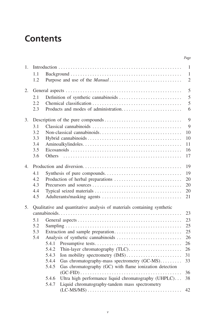# **Contents**

|             |     |       |                                                                         | Page           |
|-------------|-----|-------|-------------------------------------------------------------------------|----------------|
| 1.          |     |       |                                                                         | 1              |
|             | 1.1 |       |                                                                         | 1              |
|             | 1.2 |       |                                                                         | $\mathfrak{2}$ |
|             |     |       |                                                                         | 5              |
| 2.          |     |       |                                                                         |                |
|             | 2.1 |       |                                                                         | 5              |
|             | 2.2 |       |                                                                         | 5              |
|             | 2.3 |       |                                                                         | 6              |
| 3.          |     |       |                                                                         | 9              |
|             | 3.1 |       |                                                                         | 9              |
|             | 3.2 |       |                                                                         | 10             |
|             | 3.3 |       |                                                                         | 10             |
|             | 3.4 |       |                                                                         | 11             |
|             | 3.5 |       |                                                                         | 16             |
|             | 3.6 |       |                                                                         | 17             |
| $4_{\cdot}$ |     |       |                                                                         | 19             |
|             | 4.1 |       |                                                                         | 19             |
|             | 4.2 |       |                                                                         | 20             |
|             | 4.3 |       |                                                                         | 20             |
|             | 4.4 |       |                                                                         | 20             |
|             | 4.5 |       |                                                                         | 21             |
|             |     |       |                                                                         |                |
| 5.          |     |       | Qualitative and quantitative analysis of materials containing synthetic |                |
|             |     |       |                                                                         | 23             |
|             | 5.1 |       |                                                                         | 23             |
|             | 5.2 |       |                                                                         | 25             |
|             | 5.3 |       |                                                                         | 25             |
|             | 5.4 |       |                                                                         | 26             |
|             |     | 5.4.1 |                                                                         | 26             |
|             |     | 5.4.2 | Thin-layer chromatography (TLC)                                         | 26             |
|             |     | 5.4.3 | Ion mobility spectrometry (IMS)                                         | 31             |
|             |     | 5.4.4 | Gas chromatography-mass spectrometry (GC-MS)                            | 33             |
|             |     | 5.4.5 | Gas chromatography (GC) with flame ionization detection                 | 36             |
|             |     | 5.4.6 | Ultra high performance liquid chromatography (UHPLC)                    | 38             |
|             |     | 5.4.7 | Liquid chromatography-tandem mass spectrometry                          |                |
|             |     |       |                                                                         | 42             |
|             |     |       |                                                                         |                |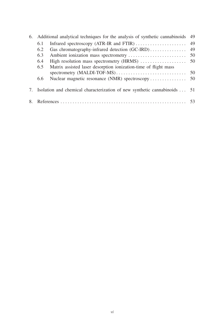|     | 6. Additional analytical techniques for the analysis of synthetic cannabinoids | 49 |
|-----|--------------------------------------------------------------------------------|----|
| 6.1 | Infrared spectroscopy (ATR-IR and FTIR)                                        | 49 |
| 6.2 | Gas chromatography-infrared detection (GC-IRD)                                 | 49 |
| 6.3 |                                                                                | 50 |
| 6.4 | High resolution mass spectrometry (HRMS)                                       | 50 |
| 6.5 | Matrix assisted laser desorption ionization-time of flight mass                |    |
|     | spectrometry (MALDI-TOF-MS)                                                    | 50 |
| 6.6 |                                                                                |    |
|     | 7. Isolation and chemical characterization of new synthetic cannabinoids  51   |    |
|     |                                                                                |    |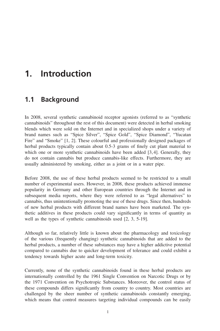# <span id="page-8-0"></span>**1. Introduction**

# **1.1 Background**

In 2008, several synthetic cannabinoid receptor agonists (referred to as "synthetic cannabinoids" throughout the rest of this document) were detected in herbal smoking blends which were sold on the Internet and in specialized shops under a variety of brand names such as "Spice Silver", "Spice Gold", "Spice Diamond", "Yucatan Fire" and "Smoke" [1, 2]. These colourful and professionally designed packages of herbal products typically contain about 0.5-3 grams of finely cut plant material to which one or more synthetic cannabinoids have been added [3,4]. Generally, they do not contain cannabis but produce cannabis-like effects. Furthermore, they are usually administered by smoking, either as a joint or in a water pipe.

Before 2008, the use of these herbal products seemed to be restricted to a small number of experimental users. However, in 2008, these products achieved immense popularity in Germany and other European countries through the Internet and in subsequent media reports, where they were referred to as "legal alternatives" to cannabis, thus unintentionally promoting the use of these drugs. Since then, hundreds of new herbal products with different brand names have been marketed. The synthetic additives in these products could vary significantly in terms of quantity as well as the types of synthetic cannabinoids used [2, 3, 5-19].

Although so far, relatively little is known about the pharmacology and toxicology of the various (frequently changing) synthetic cannabinoids that are added to the herbal products, a number of these substances may have a higher addictive potential compared to cannabis due to quicker development of tolerance and could exhibit a tendency towards higher acute and long-term toxicity.

Currently, none of the synthetic cannabinoids found in these herbal products are internationally controlled by the 1961 Single Convention on Narcotic Drugs or by the 1971 Convention on Psychotropic Substances. Moreover, the control status of these compounds differs significantly from country to country. Most countries are challenged by the sheer number of synthetic cannabinoids constantly emerging, which means that control measures targeting individual compounds can be easily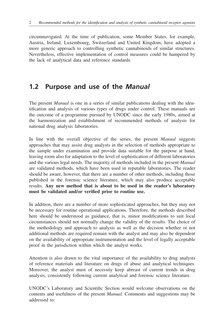<span id="page-9-0"></span>circumnavigated. At the time of publication, some Member States, for example, Austria, Ireland, Luxembourg, Switzerland and United Kingdom, have adopted a more generic approach to controlling synthetic cannabinoids of similar structures. Nevertheless, effective implementation of control measures could be hampered by the lack of analytical data and reference standards.

# **1.2 Purpose and use of the** *Manual*

The present *Manual* is one in a series of similar publications dealing with the identification and analysis of various types of drugs under control. These manuals are the outcome of a programme pursued by UNODC since the early 1980s, aimed at the harmonization and establishment of recommended methods of analysis for national drug analysis laboratories.

In line with the overall objective of the series, the present *Manual* suggests approaches that may assist drug analysts in the selection of methods appropriate to the sample under examination and provide data suitable for the purpose at hand, leaving room also for adaptation to the level of sophistication of different laboratories and the various legal needs. The majority of methods included in the present *Manual* are validated methods, which have been used in reputable laboratories. The reader should be aware, however, that there are a number of other methods, including those published in the forensic science literature, which may also produce acceptable results. **Any new method that is about to be used in the reader's laboratory must be validated and/or verified prior to routine use.**

In addition, there are a number of more sophisticated approaches, but they may not be necessary for routine operational applications. Therefore, the methods described here should be understood as guidance, that is, minor modifications to suit local circumstances should not normally change the validity of the results. The choice of the methodology and approach to analysis as well as the decision whether or not additional methods are required remain with the analyst and may also be dependent on the availability of appropriate instrumentation and the level of legally acceptable proof in the jurisdiction within which the analyst works.

Attention is also drawn to the vital importance of the availability to drug analysts of reference materials and literature on drugs of abuse and analytical techniques. Moreover, the analyst must of necessity keep abreast of current trends in drug analysis, consistently following current analytical and forensic science literature.

UNODC's Laboratory and Scientific Section would welcome observations on the contents and usefulness of the present *Manual*. Comments and suggestions may be addressed to: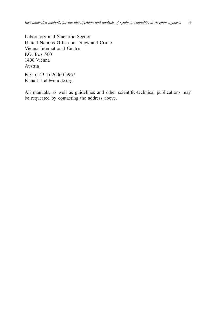Laboratory and Scientific Section United Nations Office on Drugs and Crime Vienna International Centre P.O. Box 500 1400 Vienna Austria

Fax: (+43-1) 26060-5967 E-mail: Lab@unodc.org

All manuals, as well as guidelines and other scientific-technical publications may be requested by contacting the address above.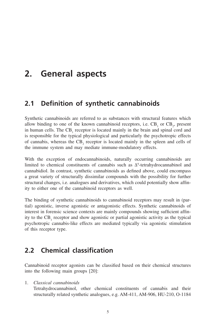# <span id="page-12-0"></span>**2. General aspects**

# **2.1 Definition of synthetic cannabinoids**

Synthetic cannabinoids are referred to as substances with structural features which allow binding to one of the known cannabinoid receptors, i.e.  $CB_1$  or  $CB_2$ , present in human cells. The  $CB_1$  receptor is located mainly in the brain and spinal cord and is responsible for the typical physiological and particularly the psychotropic effects of cannabis, whereas the  $CB_2$  receptor is located mainly in the spleen and cells of the immune system and may mediate immune-modulatory effects.

With the exception of endocannabinoids, naturally occurring cannabinoids are limited to chemical constituents of cannabis such as Δ°-tetrahydrocannabinol and cannabidiol. In contrast, synthetic cannabinoids as defined above, could encompass a great variety of structurally dissimilar compounds with the possibility for further structural changes, i.e. analogues and derivatives, which could potentially show affinity to either one of the cannabinoid receptors as well.

The binding of synthetic cannabinoids to cannabinoid receptors may result in (partial) agonistic, inverse agonistic or antagonistic effects. Synthetic cannabinoids of interest in forensic science contexts are mainly compounds showing sufficient affinity to the  $CB_1$  receptor and show agonistic or partial agonistic activity as the typical psychotropic cannabis-like effects are mediated typically via agonistic stimulation of this receptor type.

# **2.2 Chemical classification**

Cannabinoid receptor agonists can be classified based on their chemical structures into the following main groups [20]:

1. *Classical cannabinoids* 

Tetrahydrocannabinol, other chemical constituents of cannabis and their structurally related synthetic analogues, e.g. AM-411, AM-906, HU-210, O-1184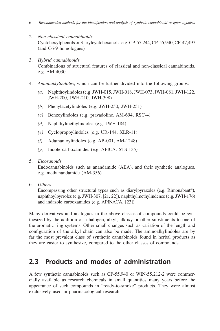- <span id="page-13-0"></span>2. *Non-classical cannabinoids*  Cyclohexylphenols or 3-arylcyclohexanols, e.g. CP-55,244, CP-55,940, CP-47,497 (and C6-9 homologues)
- 3. *Hybrid cannabinoids*  Combinations of structural features of classical and non-classical cannabinoids, e.g. AM-4030
- 4. *Aminoalkylindoles*, which can be further divided into the following groups:
	- *(a)* Naphthoylindoles (e.g. JWH-015, JWH-018, JWH-073, JWH-081, JWH-122, JWH-200, JWH-210, JWH-398)
	- *(b)* Phenylacetylindoles (e.g. JWH-250, JWH-251)
	- *(c)* Benzoylindoles (e.g. pravadoline, AM-694, RSC-4)
	- *(d)* Naphthylmethylindoles (e.g. JWH-184)
	- *(e)* Cyclopropoylindoles (e.g. UR-144, XLR-11)
	- *(f)* Adamantoylindoles (e.g. AB-001, AM-1248)
	- *(g)* Indole carboxamides (e.g. APICA, STS-135)
- 5. *Eicosanoids*

Endocannabinoids such as anandamide (AEA), and their synthetic analogues, e.g. methanandamide (AM-356)

6. *Others*

Encompassing other structural types such as diarylpyrazoles (e.g. Rimonabant®), naphthoylpyrroles (e.g. JWH-307, [21, 22]), naphthylmethylindenes (e.g. JWH-176) and indazole carboxamides (e.g. APINACA, [23]).

Many derivatives and analogues in the above classes of compounds could be synthesized by the addition of a halogen, alkyl, alkoxy or other substituents to one of the aromatic ring systems. Other small changes such as variation of the length and configuration of the alkyl chain can also be made. The aminoalkylindoles are by far the most prevalent class of synthetic cannabinoids found in herbal products as they are easier to synthesize, compared to the other classes of compounds.

# **2.3 Products and modes of administration**

A few synthetic cannabinoids such as CP-55,940 or WIN-55,212-2 were commercially available as research chemicals in small quantities many years before the appearance of such compounds in "ready-to-smoke" products. They were almost exclusively used in pharmacological research.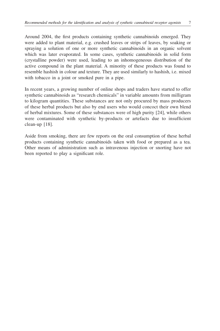Around 2004, the first products containing synthetic cannabinoids emerged. They were added to plant material, e.g. crushed leaves or strips of leaves, by soaking or spraying a solution of one or more synthetic cannabinoids in an organic solvent which was later evaporated. In some cases, synthetic cannabinoids in solid form (crystalline powder) were used, leading to an inhomogeneous distribution of the active compound in the plant material. A minority of these products was found to resemble hashish in colour and texture. They are used similarly to hashish, i.e. mixed with tobacco in a joint or smoked pure in a pipe.

In recent years, a growing number of online shops and traders have started to offer synthetic cannabinoids as "research chemicals" in variable amounts from milligram to kilogram quantities. These substances are not only procured by mass producers of these herbal products but also by end users who would concoct their own blend of herbal mixtures. Some of these substances were of high purity [24], while others were contaminated with synthetic by-products or artefacts due to insufficient clean-up [18].

Aside from smoking, there are few reports on the oral consumption of these herbal products containing synthetic cannabinoids taken with food or prepared as a tea. Other means of administration such as intravenous injection or snorting have not been reported to play a significant role.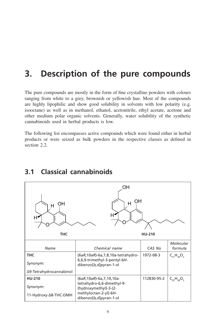# <span id="page-16-0"></span>**3. Description of the pure compounds**

The pure compounds are mostly in the form of fine crystalline powders with colours ranging from white to a grey, brownish or yellowish hue. Most of the compounds are highly lipophilic and show good solubility in solvents with low polarity (e.g. isooctane) as well as in methanol, ethanol, acetonitrile, ethyl acetate, acetone and other medium polar organic solvents. Generally, water solubility of the synthetic cannabinoids used in herbal products is low.

The following list encompasses active compounds which were found either in herbal products or were seized as bulk powders in the respective classes as defined in section 2.2.



# **3.1 Classical cannabinoids**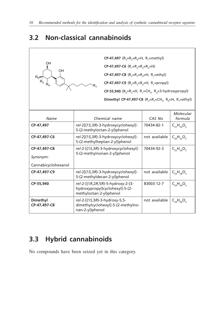# <span id="page-17-0"></span>**3.2 Non-classical cannabinoids**

 $\Gamma$ 

|                                               | <b>CP-47,497</b> (R <sub>2</sub> =R <sub>3</sub> =R <sub>4</sub> =H, R <sub>1</sub> =methyl)                       |               |                     |
|-----------------------------------------------|--------------------------------------------------------------------------------------------------------------------|---------------|---------------------|
| OH                                            | CP-47,497-C6 $(R_1=R_2=R_3=R_4=H)$                                                                                 |               |                     |
| OH                                            | CP-47,497-C8 (R <sub>2</sub> =R <sub>3</sub> =R <sub>4</sub> =H, R <sub>1</sub> =ethyl)                            |               |                     |
| $R_2 \rightarrow R_3$<br>$\dot{\mathsf{R}}_4$ | CP-47,497-C9 (R <sub>2</sub> =R <sub>3</sub> =R <sub>4</sub> =H, R <sub>1</sub> =propyl)                           |               |                     |
|                                               | $CP-55,940$ (R <sub>2</sub> =R <sub>2</sub> =H, R <sub>3</sub> =CH <sub>2</sub> , R <sub>4</sub> =3-hydroxypropyl) |               |                     |
|                                               | Dimethyl CP-47,497-C8 (R <sub>2</sub> =R <sub>2</sub> =CH <sub>2</sub> , R <sub>2</sub> =H, R <sub>3</sub> =ethyl) |               |                     |
|                                               |                                                                                                                    |               |                     |
|                                               |                                                                                                                    |               | Molecular           |
| Name                                          | Chemical name                                                                                                      | CAS No        | formula             |
| CP-47,497                                     | rel-2[(15,3R)-3-hydroxycyclohexyl]-<br>5-(2-methyloctan-2-yl)phenol                                                | 70434-82-1    | $C_{21}H_{34}O_2$   |
| CP-47,497-C6                                  | rel-2[(1S,3R)-3-hydroxycyclohexyl]-<br>5-(2-methylheptan-2-yl)phenol                                               | not available | $C_{20}H_{32}O_{2}$ |
| CP-47.497-C8                                  | rel-2-[(1S,3R)-3-hydroxycyclohexyl]-                                                                               | 70434-92-3    | $C_{22}H_{36}O_{2}$ |
| Synonym:                                      | 5-(2-methylnonan-2-yl)phenol                                                                                       |               |                     |
| Cannabicyclohexanol                           |                                                                                                                    |               |                     |
| CP-47,497-C9                                  | rel-2[(15,3R)-3-hydroxycyclohexyl]-<br>5-(2-methyldecan-2-yl)phenol                                                | not available | $C_{23}H_{38}O_2$   |
| CP-55.940                                     | rel-2-[(1R,2R,5R)-5-hydroxy-2-(3-<br>hydroxypropyl)cyclohexyl]-5-(2-<br>methyloctan-2-yl)phenol                    | 83003-12-7    | $C_{24}H_{40}O_3$   |
| Dimethyl<br>CP-47.497-C8                      | rel-2-[(15,3R)-3-hydroxy-5,5-<br>dimethylcyclohexyl]-5-(2-methylno-<br>nan-2-yl)phenol                             | not available | $C_{24}H_{40}O_2$   |

# **3.3 Hybrid cannabinoids**

No compounds have been seized yet in this category.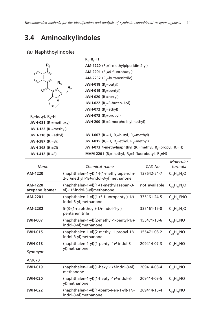# <span id="page-18-0"></span>**3.4 Aminoalkylindoles**

| (a) Naphthoylindoles               |                                                                                              |                                         |                      |  |  |  |
|------------------------------------|----------------------------------------------------------------------------------------------|-----------------------------------------|----------------------|--|--|--|
|                                    | $R_1=R_2=H$                                                                                  |                                         |                      |  |  |  |
| $R_1$                              |                                                                                              | AM-1220 $(R_2=1$ -methylpiperidin-2-yl) |                      |  |  |  |
|                                    | AM-2201 ( $R_2$ =4-fluorobutyl)                                                              |                                         |                      |  |  |  |
|                                    | <b>AM-2232</b> ( $R_2$ =butanenitrile)                                                       |                                         |                      |  |  |  |
| $R_3$                              | JWH-018 $(R$ <sub>2</sub> =butyl)                                                            |                                         |                      |  |  |  |
| റ∕                                 | R <sub>2</sub><br>JWH-019 $(R, =$ pentyl)                                                    |                                         |                      |  |  |  |
|                                    | JWH-020 $(R, =$ hexyl)                                                                       |                                         |                      |  |  |  |
|                                    | JWH-022 $(R_2=3$ -buten-1-yl)                                                                |                                         |                      |  |  |  |
|                                    | JWH-072 $(R_2=ethyl)$                                                                        |                                         |                      |  |  |  |
| $R_2$ =butyl, $R_3$ =H             | JWH-073 $(R_2=$ propyl)                                                                      |                                         |                      |  |  |  |
| JWH-081 $(R_1 = \text{methoxy})$   | JWH-200 (R <sub>2</sub> =4-morpholinylmethyl)                                                |                                         |                      |  |  |  |
| JWH-122 $(R$ <sub>1</sub> =methyl) |                                                                                              |                                         |                      |  |  |  |
| JWH-210 $(R$ <sub>-ethyl</sub> )   | JWH-007 (R <sub>1</sub> =H, R <sub>2</sub> =butyl, R <sub>3</sub> =methyl)                   |                                         |                      |  |  |  |
| <b>JWH-387</b> $(R, = Br)$         | JWH-015 (R <sub>1</sub> =H, R <sub>2</sub> =ethyl, R <sub>3</sub> =methyl)                   |                                         |                      |  |  |  |
| <b>JWH-398</b> $(R_1 = Cl)$        | JWH-073 4-methylnaphthyl (R <sub>1</sub> =methyl, R <sub>2</sub> =propyl, R <sub>3</sub> =H) |                                         |                      |  |  |  |
| <b>JWH-412</b> $(R, =F)$           | <b>MAM-2201</b> (R <sub>1</sub> =methyl, R <sub>2</sub> =4-fluorobutyl, R <sub>3</sub> =H)   |                                         |                      |  |  |  |
|                                    |                                                                                              |                                         | Molecular            |  |  |  |
| Name                               | Chemical name                                                                                | CAS No                                  | formula              |  |  |  |
| AM-1220                            | (naphthalen-1-yl)[1-[(1-methylpiperidin-                                                     | 137642-54-7                             | $C_{26}H_{26}N_{2}O$ |  |  |  |
|                                    | 2-yl)methyl]-1H-indol-3-yl]methanone                                                         |                                         |                      |  |  |  |
| AM-1220                            | (naphthalen-1-yl)[1-(1-methylazepan-3-                                                       | not available                           | $C_{26}H_{26}N_{2}O$ |  |  |  |
| azepane isomer                     | yl)-1H-indol-3-yl]methanone                                                                  |                                         |                      |  |  |  |
| AM-2201                            | (naphthalen-1-yl)[1-(5-fluoropentyl)-1H-<br>indol-3-yl]methanone                             | 335161-24-5                             | $C_{24}H_{22}$ FNO   |  |  |  |
| AM-2232                            | 5-(3-(1-naphthoyl)-1H-indol-1-yl)<br>pentanenitrile                                          | 335161-19-8                             | $C_{24}H_{20}N_{2}O$ |  |  |  |
| <b>JWH-007</b>                     | (naphthalen-1-yl)(2-methyl-1-pentyl-1H-                                                      | 155471-10-6                             | $C_{25}H_{25}NO$     |  |  |  |
|                                    | indol-3-yl)methanone                                                                         |                                         |                      |  |  |  |
| <b>JWH-015</b>                     | (naphthalen-1-yl)(2-methyl-1-propyl-1H-<br>indol-3-yl)methanone                              | 155471-08-2                             | $C_{23}H_{21}NO$     |  |  |  |
| <b>JWH-018</b>                     | (naphthalen-1-yl)(1-pentyl-1H-indol-3-<br>yl)methanone                                       | $C_{24}H_{23}NO$<br>209414-07-3         |                      |  |  |  |
| Synonym:                           |                                                                                              |                                         |                      |  |  |  |
| AM678                              |                                                                                              |                                         |                      |  |  |  |
| <b>JWH-019</b>                     | (naphthalen-1-yl)(1-hexyl-1H-indol-3-yl)<br>methanone                                        | 209414-08-4                             | $C_{25}H_{25}NO$     |  |  |  |
| <b>JWH-020</b>                     | (naphthalen-1-yl)(1-heptyl-1H-indol-3-<br>yl)methanone                                       | 209414-09-5                             | $C_{26}H_{27}NO$     |  |  |  |
| <b>JWH-022</b>                     | (naphthalen-1-yl)[1-(pent-4-en-1-yl)-1H-<br>indol-3-yl]methanone                             | 209414-16-4                             | $C_{24}H_{21}NO$     |  |  |  |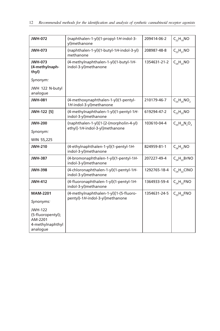| <b>JWH-072</b>                                                                 | (naphthalen-1-yl)(1-propyl-1H-indol-3-<br>yl)methanone                    | 209414-06-2  | $C_{22}H_{19}NO$         |
|--------------------------------------------------------------------------------|---------------------------------------------------------------------------|--------------|--------------------------|
| <b>JWH-073</b>                                                                 | (naphthalen-1-yl)(1-butyl-1H-indol-3-yl)<br>methanone                     | 208987-48-8  | $C_{23}H_{21}NO$         |
| <b>JWH-073</b><br>(4-methylnaph-<br>thyl)                                      | (4-methylnaphthalen-1-yl)(1-butyl-1H-<br>indol-3-yl)methanone             | 1354631-21-2 | $C_{24}H_{23}NO$         |
| Synonym:                                                                       |                                                                           |              |                          |
| JWH 122 N-butyl<br>analogue                                                    |                                                                           |              |                          |
| <b>JWH-081</b>                                                                 | (4-methoxynaphthalen-1-yl)(1-pentyl-<br>1H-indol-3-yl)methanone           | 210179-46-7  | $C_{25}H_{25}NO_2$       |
| JWH-122 [5]                                                                    | (4-methylnaphthalen-1-yl)(1-pentyl-1H-<br>indol-3-yl)methanone            | 619294-47-2  | $C_{25}H_{25}NO$         |
| <b>JWH-200</b>                                                                 | (naphthalen-1-yl)[1-[2-(morpholin-4-yl)<br>ethyl]-1H-indol-3-yl]methanone | 103610-04-4  | $C_{25}H_{24}N_{2}O_{2}$ |
| Synonym:                                                                       |                                                                           |              |                          |
| WIN 55,225                                                                     |                                                                           |              |                          |
| <b>JWH-210</b>                                                                 | (4-ethylnaphthalen-1-yl)(1-pentyl-1H-<br>indol-3-yl)methanone             | 824959-81-1  | $C_{26}H_{27}NO$         |
| <b>JWH-387</b>                                                                 | (4-bromonaphthalen-1-yl)(1-pentyl-1H-<br>indol-3-yl)methanone             | 207227-49-4  | $C_{24}H_{22}BrNO$       |
| <b>JWH-398</b>                                                                 | (4-chloronaphthalen-1-yl)(1-pentyl-1H-<br>indol-3-yl)methanone            | 1292765-18-4 | $C_{24}H_{22}CINO$       |
| <b>JWH-412</b>                                                                 | (4-fluoronaphthalen-1-yl)(1-pentyl-1H-<br>indol-3-yl)methanone            | 1364933-59-4 | $C_{24}H_{22}$ FNO       |
| <b>MAM-2201</b>                                                                | (4-methylnaphthalen-1-yl)[1-(5-fluoro-                                    | 1354631-24-5 | $C_{25}H_{24}FNO$        |
| Synonyms:                                                                      | pentyl)-1H-indol-3-yl]methanone                                           |              |                          |
| <b>JWH-122</b><br>(5-fluoropentyl);<br>AM-2201<br>4-methylnaphthyl<br>analogue |                                                                           |              |                          |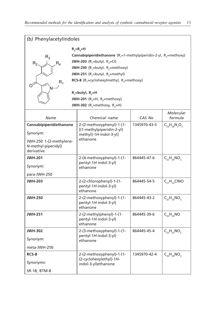| (b) Phenylacetylindoles                                                                                                                                                                                                                                                                                                                                                                                                                                                                              |                                                                                               |              |                          |  |
|------------------------------------------------------------------------------------------------------------------------------------------------------------------------------------------------------------------------------------------------------------------------------------------------------------------------------------------------------------------------------------------------------------------------------------------------------------------------------------------------------|-----------------------------------------------------------------------------------------------|--------------|--------------------------|--|
| $R_{3} = R_{4} = H$<br>Cannabipiperidiethanone $(R, =1$ -methylpiperidin-2-yl, $R, =$ methoxy)<br>$R_3$<br><b>JWH-203</b> (R <sub>1</sub> =butyl, R <sub>2</sub> =Cl)<br>$R_2$<br>$R_4$<br>JWH-250 (R <sub>1</sub> =butyl, R <sub>2</sub> =methoxy)<br>JWH-251 (R <sub>1</sub> =butyl, R <sub>2</sub> =methyl)<br>RCS-8 (R <sub>1</sub> =cyclohexylmethyl, R <sub>2</sub> =methoxy)<br>$R_1$<br>$R_1$ =butyl, $R_2$ =H<br>JWH-201 ( $R_3$ =H, $R_4$ =methoxy)<br>JWH-302 ( $R_3$ =methoxy, $R_4$ =H) |                                                                                               |              |                          |  |
| Name                                                                                                                                                                                                                                                                                                                                                                                                                                                                                                 | Chemical name                                                                                 | CAS No       | Molecular<br>formula     |  |
| Cannabipiperidiethanone<br>Synonym:<br>JWH-250 1-(2-methylene-<br>N-methyl-piperidyl)<br>derivative                                                                                                                                                                                                                                                                                                                                                                                                  | 2-(2-methoxyphenyl)-1-[1-<br>[(1-methylpiperidin-2-yl)<br>$methyl-1H-indol-3-yll$<br>ethanone | 1345970-43-5 | $C_{24}H_{28}N_{2}O_{2}$ |  |
| <b>JWH-201</b><br>Synonym:<br>para-JWH-250                                                                                                                                                                                                                                                                                                                                                                                                                                                           | 2-(4-methoxyphenyl)-1-(1-<br>pentyl-1H-indol-3-yl)<br>ethanone                                | 864445-47-6  | $C_{22}H_{25}NO_{2}$     |  |
| <b>JWH-203</b>                                                                                                                                                                                                                                                                                                                                                                                                                                                                                       | 2-(2-chlorophenyl)-1-(1-<br>pentyl-1H-indol-3-yl)<br>ethanone                                 | 864445-54-5  | $C_{21}H_{22}CINO$       |  |
| <b>JWH-250</b>                                                                                                                                                                                                                                                                                                                                                                                                                                                                                       | 2-(2-methoxyphenyl)-1-(1-<br>pentyl-1H-indol-3-yl)<br>ethanone                                | 864445-43-2  | $C_{22}H_{25}NO_2$       |  |
| <b>JWH-251</b>                                                                                                                                                                                                                                                                                                                                                                                                                                                                                       | 2-(2-methylphenyl)-1-(1-<br>pentyl-1H-indol-3-yl)<br>ethanone                                 | 864445-39-6  | $C_{22}H_{25}NO$         |  |
| <b>JWH-302</b>                                                                                                                                                                                                                                                                                                                                                                                                                                                                                       | 2-(3-methoxyphenyl)-1-(1-                                                                     | 864445-45-4  | $C_{22}H_{25}NO_{2}$     |  |
| Synonym:                                                                                                                                                                                                                                                                                                                                                                                                                                                                                             | pentyl-1H-indol-3-yl)<br>ethanone                                                             |              |                          |  |
| meta-JWH-250                                                                                                                                                                                                                                                                                                                                                                                                                                                                                         |                                                                                               |              |                          |  |
| RCS-8<br>Synonyms:                                                                                                                                                                                                                                                                                                                                                                                                                                                                                   | 2-(2-methoxyphenyl)-1-(1-<br>(2-cyclohexylethyl)-1H-<br>indol-3-yl)ethanone                   | 1345970-42-4 | $C_{25}H_{29}NO_2$       |  |
| SR-18; BTM-8                                                                                                                                                                                                                                                                                                                                                                                                                                                                                         |                                                                                               |              |                          |  |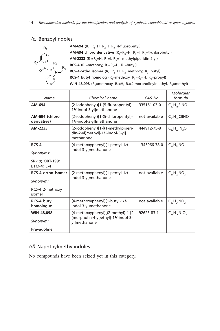| (c) Benzoylindoles            |                                                                                                                      |               |                                  |  |  |
|-------------------------------|----------------------------------------------------------------------------------------------------------------------|---------------|----------------------------------|--|--|
| R,                            | AM-694 (R <sub>1</sub> =R <sub>4</sub> =H, R <sub>2</sub> =I, R <sub>3</sub> =4-fluorobutyl)                         |               |                                  |  |  |
|                               | AM-694 chloro derivative $(R, =R, =H, R, =I, R, =4$ -chlorobutyl)                                                    |               |                                  |  |  |
| $\mathsf{R}_4$                | AM-2233 (R <sub>1</sub> =R <sub>4</sub> =H, R <sub>2</sub> =I, R <sub>3</sub> =1-methylpiperidin-2-yl)               |               |                                  |  |  |
| $R_3$                         | RCS-4 (R <sub>1</sub> =methoxy, R <sub>2</sub> =R <sub>4</sub> =H, R <sub>3</sub> =butyl)                            |               |                                  |  |  |
|                               | RCS-4-ortho isomer $(R, =R, =H, R, =$ methoxy, R,=butyl)                                                             |               |                                  |  |  |
|                               | RCS-4 butyl homolog (R <sub>1</sub> =methoxy, R <sub>2</sub> =R <sub>4</sub> =H, R <sub>3</sub> =propyl)             |               |                                  |  |  |
|                               | WIN 48,098 (R <sub>1</sub> =methoxy, R <sub>2</sub> =H, R <sub>3</sub> =4-morpholinylmethyl, R <sub>4</sub> =methyl) |               |                                  |  |  |
| Name                          | Chemical name                                                                                                        | CAS No        | Molecular<br>formula             |  |  |
| AM-694                        | (2-iodophenyl)[1-(5-fluoropentyl)-<br>1H-indol-3-yl]methanone                                                        | 335161-03-0   | $C_{20}H_{19}FINO$               |  |  |
| AM-694 (chloro<br>derivative) | (2-iodophenyl)[1-(5-chloropentyl)-<br>1H-indol-3-yl]methanone                                                        | not available | $C_{20}H_{19}$ ClINO             |  |  |
| AM-2233                       | (2-iodophenyl)[1-[(1-methylpiperi-<br>din-2-yl)methyl]-1H-indol-3-yl]<br>methanone                                   | 444912-75-8   | $C_{22}H_{23}$ IN <sub>2</sub> O |  |  |
| RCS-4                         | (4-methoxyphenyl)(1-pentyl-1H-                                                                                       | 1345966-78-0  | $C_{21}H_{23}NO_2$               |  |  |
| Synonyms:                     | indol-3-yl)methanone                                                                                                 |               |                                  |  |  |
| SR-19; OBT-199;               |                                                                                                                      |               |                                  |  |  |
| BTM-4: E-4                    |                                                                                                                      |               |                                  |  |  |
| RCS-4 ortho isomer            | (2-methoxyphenyl)(1-pentyl-1H-                                                                                       | not available | $C_{21}H_{23}NO_2$               |  |  |
| Synonym:                      | indol-3-yl)methanone                                                                                                 |               |                                  |  |  |
| RCS-4 2-methoxy               |                                                                                                                      |               |                                  |  |  |
| isomer                        |                                                                                                                      |               |                                  |  |  |
| RCS-4 butyl<br>homologue      | (4-methoxyphenyl)(1-butyl-1H-<br>indol-3-yl)methanone                                                                | not available | $C_{20}H_{21}NO_{2}$             |  |  |
| <b>WIN 48,098</b>             | (4-methoxyphenyl)[(2-methyl)-1-[2-                                                                                   | 92623-83-1    | $C_{23}H_{26}N_2O_3$             |  |  |
| Synonym:                      | (morpholin-4-yl)ethyl]-1H-indol-3-<br>yl]methanone                                                                   |               |                                  |  |  |
| Pravadoline                   |                                                                                                                      |               |                                  |  |  |

# *(d)* Naphthylmethylindoles

No compounds have been seized yet in this category.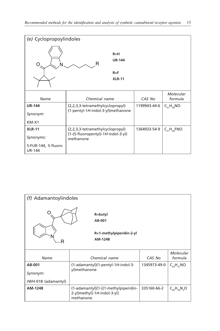| (e) Cyclopropoylindoles              |                                                 |              |                      |  |  |
|--------------------------------------|-------------------------------------------------|--------------|----------------------|--|--|
| O                                    | $R=H$<br><b>UR-144</b>                          |              |                      |  |  |
|                                      | $R = F$                                         |              |                      |  |  |
|                                      | <b>XLR-11</b>                                   |              |                      |  |  |
|                                      |                                                 |              |                      |  |  |
| Name                                 | Chemical name                                   | CAS No       | Molecular<br>formula |  |  |
| <b>UR-144</b>                        | (2,2,3,3-tetramethylcyclopropyl)                | 1199943-44-6 | $C_{21}H_{29}NO$     |  |  |
| Synonym:                             | (1-pentyl-1H-indol-3-yl)methanone               |              |                      |  |  |
| $KM-X1$                              |                                                 |              |                      |  |  |
| <b>XLR-11</b>                        | (2,2,3,3-tetramethylcyclopropyl)                | 1364933-54-9 | $C_{21}H_{28}$ FNO   |  |  |
| Synonyms:                            | (1-(5-fluoropentyl)-1H-indol-3-yl)<br>methanone |              |                      |  |  |
| 5-FUR-144, 5-fluoro<br><b>UR-144</b> |                                                 |              |                      |  |  |

| (f) Adamantoylindoles |                                                                                  |              |                      |  |  |
|-----------------------|----------------------------------------------------------------------------------|--------------|----------------------|--|--|
| R                     | R=butyl<br>AB-001<br>R=1-methylpiperidin-2-yl<br>AM-1248                         |              |                      |  |  |
| Name                  | Chemical name                                                                    | CAS No       | Molecular<br>formula |  |  |
| AB-001                | (1-adamantyl)(1-pentyl-1H-indol-3-                                               | 1345973-49-0 | $C_{24}H_{31}NO$     |  |  |
| Synonym:              | yl)methanone                                                                     |              |                      |  |  |
| JWH-018 (adamantyl)   |                                                                                  |              |                      |  |  |
| AM-1248               | (1-adamantyl)[1-[(1-methylpiperidin-<br>2-yl)methyl]-1H-indol-3-yl]<br>methanone | 335160-66-2  | $C_{26}H_{34}N_{2}O$ |  |  |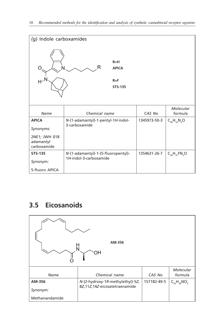<span id="page-23-0"></span>

| (g) Indole carboxamides                                                |                                                               |                           |              |                       |  |  |
|------------------------------------------------------------------------|---------------------------------------------------------------|---------------------------|--------------|-----------------------|--|--|
| 0                                                                      | R                                                             | $R=H$<br><b>APICA</b>     |              |                       |  |  |
| $H^N$                                                                  |                                                               | $R = F$<br><b>STS-135</b> |              |                       |  |  |
| Name                                                                   | Chemical name                                                 |                           | CAS No       | Molecular<br>formula  |  |  |
| <b>APICA</b><br>Synonyms:<br>2NE1; JWH 018<br>adamantyl<br>carboxamide | N-(1-adamantyl)-1-pentyl-1H-indol-<br>3-carboxamide           |                           | 1345973-50-3 | $C_{24}H_{32}N_{2}O$  |  |  |
| <b>STS-135</b><br>Synonym:<br>5-fluoro APICA                           | N-(1-adamantyl)-1-(5-fluoropentyl)-<br>1H-indol-3-carboxamide |                           | 1354631-26-7 | $C_{24}H_{31}FN_{2}O$ |  |  |

# **3.5 Eicosanoids**

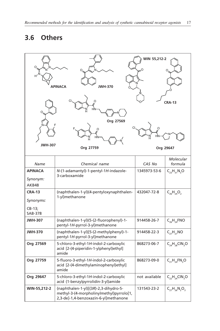# <span id="page-24-0"></span>**3.6 Others**

| WIN 55,212-2<br>Ω<br>WH-370<br><b>APINACA</b><br><b>CRA-13</b><br>Org 27569<br>O |                                                                                                                            |                                       |                        |  |  |
|----------------------------------------------------------------------------------|----------------------------------------------------------------------------------------------------------------------------|---------------------------------------|------------------------|--|--|
| <b>JWH-307</b>                                                                   | Org 27759                                                                                                                  |                                       | Org 29647              |  |  |
| Name                                                                             | Chemical name                                                                                                              | CAS No                                | Molecular<br>formula   |  |  |
| <b>APINACA</b><br>Synonym:<br>AKB48                                              | N-(1-adamantyl)-1-pentyl-1H-indazole-<br>3-carboxamide                                                                     | 1345973-53-6                          | $C_{23}H_{31}N_{3}O$   |  |  |
| <b>CRA-13</b><br>Synonyms:<br>CB-13;<br>SAB-378                                  | (naphthalen-1-yl)(4-pentyloxynaphthalen-<br>1-yl)methanone                                                                 | 432047-72-8                           | $C_{26}H_{24}O_{2}$    |  |  |
| <b>JWH-307</b>                                                                   | (naphthalen-1-yl)(5-(2-fluorophenyl)-1-<br>pentyl-1H-pyrrol-3-yl)methanone                                                 | 914458-26-7                           | $C_{26}H_{24}FNO$      |  |  |
| <b>JWH-370</b>                                                                   | (naphthalen-1-yl)[5-(2-methylphenyl)-1-<br>pentyl-1H-pyrrol-3-yl]methanone                                                 | 914458-22-3                           | $C_{27}H_{27}NO$       |  |  |
| Org 27569                                                                        | 5-chloro-3-ethyl-1H-indol-2-carboxylic<br>acid [2-(4-piperidin-1-ylphenyl)ethyl]<br>amide                                  | 868273-06-7<br>$C_{24}H_{28}CIN_{3}O$ |                        |  |  |
| Org 27759                                                                        | 5-fluoro-3-ethyl-1H-indol-2-carboxylic<br>acid [2-(4-dimethylaminophenyl)ethyl]<br>amide                                   | 868273-09-0                           | $C_{21}H_{24}FN_{3}O$  |  |  |
| Org 29647                                                                        | 5-chloro-3-ethyl-1H-indol-2-carboxylic<br>acid (1-benzylpyrrolidin-3-yl)amide                                              | not available                         | $C_{22}H_{24}CIN_{3}O$ |  |  |
| WIN-55,212-2                                                                     | (naphthalen-1-yl)[(3R)-2,3-dihydro-5-<br>methyl-3-(4-morpholinylmethyl)pyrrolo[1,<br>2,3-de]-1,4-benzoxazin-6-yl]methanone | 131543-23-2                           | $C_{27}H_{26}N_2O_3$   |  |  |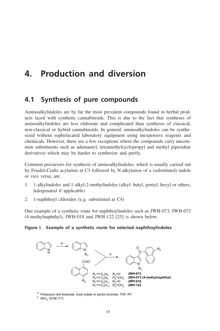# <span id="page-26-0"></span>**4. Production and diversion**

# **4.1 Synthesis of pure compounds**

Aminoalkylindoles are by far the most prevalent compounds found in herbal products laced with synthetic cannabinoids. This is due to the fact that syntheses of aminoalkylindoles are less elaborate and complicated than syntheses of classical, non-classical or hybrid cannabinoids. In general, aminoalkylindoles can be synthesized without sophisticated laboratory equipment using inexpensive reagents and chemicals. However, there are a few exceptions where the compounds carry uncommon substituents such as adamantyl, tetramethylcyclopropyl and methyl piperidine derivatives which may be harder to synthesize and purify.

Common precursors for synthesis of aminoalkylindoles, which is usually carried out by Friedel-Crafts acylation at C3 followed by N-alkylation of a (substituted) indole or vice versa, are:

- 1. 1-alkylindoles and 1-alkyl-2-methylindoles (alkyl: butyl, pentyl, hexyl or others, halogenated if applicable)
- 2. 1-naphthoyl chlorides (e.g. substituted at C4)

One example of a synthetic route for naphthoylindoles such as JWH-073, JWH-073 (4-methylnaphthyl), JWH-018 and JWH-122 [25] is shown below:

### **Figure I. Example of a synthetic route for selected naphthoylindoles**



<sup>a</sup> Potassium tert-butoxide, butyl iodide or pentyl bromide, THF, RT.

 $b$  AlCl<sub>3</sub>, DCM, 0°C.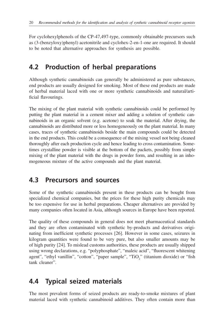<span id="page-27-0"></span>For cyclohexylphenols of the CP-47,497-type, commonly obtainable precursors such as (3-(benzyloxy)phenyl) acetonitrile and cyclohex-2-en-1-one are required. It should to be noted that alternative approaches for synthesis are possible.

# **4.2 Production of herbal preparations**

Although synthetic cannabinoids can generally be administered as pure substances, end products are usually designed for smoking. Most of these end products are made of herbal material laced with one or more synthetic cannabinoids and natural/artificial flavourings.

The mixing of the plant material with synthetic cannabinoids could be performed by putting the plant material in a cement mixer and adding a solution of synthetic cannabinoids in an organic solvent (e.g. acetone) to soak the material. After drying, the cannabinoids are distributed more or less homogeneously on the plant material. In many cases, traces of synthetic cannabinoids beside the main compounds could be detected in the end products. This could be a consequence of the mixing vessel not being cleaned thoroughly after each production cycle and hence leading to cross contamination. Sometimes crystalline powder is visible at the bottom of the packets, possibly from simple mixing of the plant material with the drugs in powder form, and resulting in an inhomogeneous mixture of the active compounds and the plant material.

# **4.3 Precursors and sources**

Some of the synthetic cannabinoids present in these products can be bought from specialized chemical companies, but the prices for these high purity chemicals may be too expensive for use in herbal preparations. Cheaper alternatives are provided by many companies often located in Asia, although sources in Europe have been reported.

The quality of these compounds in general does not meet pharmaceutical standards and they are often contaminated with synthetic by-products and derivatives originating from inefficient synthetic processes [26]. However in some cases, seizures in kilogram quantities were found to be very pure, but also smaller amounts may be of high purity [24]. To mislead customs authorities, these products are usually shipped using wrong declarations, e.g. "polyphosphate", "maleic acid", "fluorescent whitening agent", "ethyl vanillin", "cotton", "paper sample", "TiO<sub>2</sub>" (titanium dioxide) or "fish tank cleaner".

# **4.4 Typical seized materials**

The most prevalent forms of seized products are ready-to-smoke mixtures of plant material laced with synthetic cannabinoid additives. They often contain more than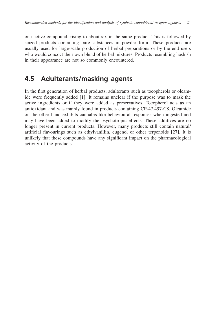<span id="page-28-0"></span>one active compound, rising to about six in the same product. This is followed by seized products containing pure substances in powder form. These products are usually used for large-scale production of herbal preparations or by the end users who would concoct their own blend of herbal mixtures. Products resembling hashish in their appearance are not so commonly encountered.

# **4.5 Adulterants/masking agents**

In the first generation of herbal products, adulterants such as tocopherols or oleamide were frequently added [1]. It remains unclear if the purpose was to mask the active ingredients or if they were added as preservatives. Tocopherol acts as an antioxidant and was mainly found in products containing CP-47,497-C8. Oleamide on the other hand exhibits cannabis-like behavioural responses when ingested and may have been added to modify the psychotropic effects. These additives are no longer present in current products. However, many products still contain natural/ artificial flavourings such as ethylvanillin, eugenol or other terpenoids [27]. It is unlikely that these compounds have any significant impact on the pharmacological activity of the products.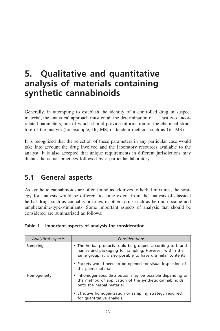# <span id="page-30-0"></span>**5. Qualitative and quantitative analysis of materials containing synthetic cannabinoids**

Generally, in attempting to establish the identity of a controlled drug in suspect material, the analytical approach must entail the determination of at least two uncorrelated parameters, one of which should provide information on the chemical structure of the analyte (for example, IR, MS; or tandem methods such as GC-MS).

It is recognized that the selection of these parameters in any particular case would take into account the drug involved and the laboratory resources available to the analyst. It is also accepted that unique requirements in different jurisdictions may dictate the actual practices followed by a particular laboratory.

# **5.1 General aspects**

As synthetic cannabinoids are often found as additives to herbal mixtures, the strategy for analysis would be different to some extent from the analysis of classical herbal drugs such as cannabis or drugs in other forms such as heroin, cocaine and amphetamine-type-stimulants. Some important aspects of analysis that should be considered are summarized as follows:

|  |  |  |  |  | Table 1. Important aspects of analysis for consideration |
|--|--|--|--|--|----------------------------------------------------------|
|--|--|--|--|--|----------------------------------------------------------|

| <b>Analytical aspects</b> | Considerations                                                                                                                                                                                                                                                        |
|---------------------------|-----------------------------------------------------------------------------------------------------------------------------------------------------------------------------------------------------------------------------------------------------------------------|
| Sampling                  | • The herbal products could be grouped according to brand<br>names and packaging for sampling. However, within the<br>same group, it is also possible to have dissimilar contents<br>• Packets would need to be opened for visual inspection of<br>the plant material |
| Homogeneity               | • Inhomogeneous distribution may be possible depending on<br>the method of application of the synthetic cannabinoids<br>onto the herbal material<br>• Effective homogenization or sampling strategy required<br>for quantitative analysis                             |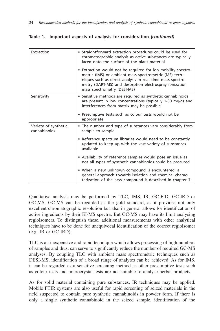### **Table 1. Important aspects of analysis for consideration** *(continued)*

| Extraction                           | • Straightforward extraction procedures could be used for<br>chromatographic analysis as active substances are typically<br>laced onto the surface of the plant material<br>• Extraction would not be required for ion mobility spectro-<br>metric (IMS) or ambient mass spectrometric (MS) tech-<br>niques such as direct analysis in real time mass spectro- |
|--------------------------------------|----------------------------------------------------------------------------------------------------------------------------------------------------------------------------------------------------------------------------------------------------------------------------------------------------------------------------------------------------------------|
|                                      | metry (DART-MS) and desorption electrospray ionization<br>mass spectrometry (DESI-MS)                                                                                                                                                                                                                                                                          |
| Sensitivity                          | • Sensitive methods are required as synthetic cannabinoids<br>are present in low concentrations (typically 1-30 mg/g) and<br>interferences from matrix may be possible                                                                                                                                                                                         |
|                                      | • Presumptive tests such as colour tests would not be<br>appropriate                                                                                                                                                                                                                                                                                           |
| Variety of synthetic<br>cannabinoids | • The number and type of substances vary considerably from<br>sample to sample                                                                                                                                                                                                                                                                                 |
|                                      | • Reference spectrum libraries would need to be constantly<br>updated to keep up with the vast variety of substances<br>available                                                                                                                                                                                                                              |
|                                      | • Availability of reference samples would pose an issue as<br>not all types of synthetic cannabinoids could be procured                                                                                                                                                                                                                                        |
|                                      | • When a new unknown compound is encountered, a<br>general approach towards isolation and chemical charac-<br>terization of the new compound is described in chapter 7                                                                                                                                                                                         |

Qualitative analysis may be performed by TLC, IMS, IR, GC-FID, GC-IRD or GC-MS. GC-MS can be regarded as the gold standard, as it provides not only excellent chromatographic resolution but also in general allows for identification of active ingredients by their EI-MS spectra. But GC-MS may have its limit analysing regioisomers. To distinguish these, additional measurements with other analytical techniques have to be done for unequivocal identification of the correct regioisomer (e.g. IR or GC-IRD).

TLC is an inexpensive and rapid technique which allows processing of high numbers of samples and thus, can serve to significantly reduce the number of required GC-MS analyses. By coupling TLC with ambient mass spectrometric techniques such as DESI-MS, identification of a broad range of analytes can be achieved. As for IMS, it can be regarded as a sensitive screening method as other presumptive tests such as colour tests and microcrystal tests are not suitable to analyse herbal products.

As for solid material containing pure substances, IR techniques may be applied. Mobile FTIR systems are also useful for rapid screening of seized materials in the field suspected to contain pure synthetic cannabinoids in powder form. If there is only a single synthetic cannabinoid in the seized sample, identification of the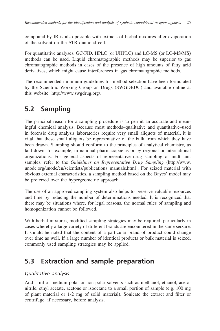<span id="page-32-0"></span>compound by IR is also possible with extracts of herbal mixtures after evaporation of the solvent on the ATR diamond cell.

For quantitative analyses, GC-FID, HPLC (or UHPLC) and LC-MS (or LC-MS/MS) methods can be used. Liquid chromatographic methods may be superior to gas chromatographic methods in cases of the presence of high amounts of fatty acid derivatives, which might cause interferences in gas chromatographic methods.

The recommended minimum guidelines for method selection have been formulated by the Scientific Working Group on Drugs (SWGDRUG) and available online at this website: http://www.swgdrug.org/.

# **5.2 Sampling**

The principal reason for a sampling procedure is to permit an accurate and meaningful chemical analysis. Because most methods–qualitative and quantitative–used in forensic drug analysis laboratories require very small aliquots of material, it is vital that these small aliquots be representative of the bulk from which they have been drawn. Sampling should conform to the principles of analytical chemistry, as laid down, for example, in national pharmacopoeias or by regional or international organizations. For general aspects of representative drug sampling of multi-unit samples, refer to the *Guidelines on Representative Drug Sampling* (http://www. unodc.org/unodc/en/scientists/publications\_manuals.html). For seized material with obvious external characteristics, a sampling method based on the Bayes' model may be preferred over the hypergeometric approach.

The use of an approved sampling system also helps to preserve valuable resources and time by reducing the number of determinations needed. It is recognized that there may be situations where, for legal reasons, the normal rules of sampling and homogenization cannot be followed.

With herbal mixtures, modified sampling strategies may be required, particularly in cases whereby a large variety of different brands are encountered in the same seizure. It should be noted that the content of a particular brand of product could change over time as well. If a large number of identical products or bulk material is seized, commonly used sampling strategies may be applied.

# **5.3 Extraction and sample preparation**

## *Qualitative analysis*

Add 1 ml of medium-polar or non-polar solvents such as methanol, ethanol, acetonitrile, ethyl acetate, acetone or isooctane to a small portion of sample (e.g. 100 mg of plant material or 1-2 mg of solid material). Sonicate the extract and filter or centrifuge, if necessary, before analysis.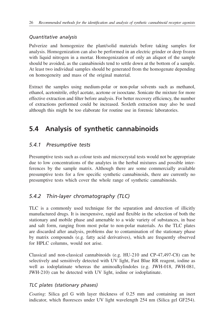# <span id="page-33-0"></span>*Quantitative analysis*

Pulverize and homogenize the plant/solid materials before taking samples for analysis. Homogenization can also be performed in an electric grinder or deep frozen with liquid nitrogen in a mortar. Homogenization of only an aliquot of the sample should be avoided, as the cannabinoids tend to settle down at the bottom of a sample. At least two individual samples should be generated from the homogenate depending on homogeneity and mass of the original material.

Extract the samples using medium-polar or non-polar solvents such as methanol, ethanol, acetonitrile, ethyl acetate, acetone or isooctane. Sonicate the mixture for more effective extraction and filter before analysis. For better recovery efficiency, the number of extractions performed could be increased. Soxleth extraction may also be used although this might be too elaborate for routine use in forensic laboratories.

# **5.4 Analysis of synthetic cannabinoids**

# *5.4.1 Presumptive tests*

Presumptive tests such as colour tests and microcrystal tests would not be appropriate due to low concentrations of the analytes in the herbal mixtures and possible interferences by the sample matrix. Although there are some commercially available presumptive tests for a few specific synthetic cannabinoids, there are currently no presumptive tests which cover the whole range of synthetic cannabinoids.

# *5.4.2 Thin-layer chromatography (TLC)*

TLC is a commonly used technique for the separation and detection of illicitly manufactured drugs. It is inexpensive, rapid and flexible in the selection of both the stationary and mobile phase and amenable to a wide variety of substances, in base and salt form, ranging from most polar to non-polar materials. As the TLC plates are discarded after analysis, problems due to contamination of the stationary phase by matrix compounds (e.g. fatty acid derivatives), which are frequently observed for HPLC columns, would not arise.

Classical and non-classical cannabinoids (e.g. HU-210 and CP-47,497-C8) can be selectively and sensitively detected with UV light, Fast Blue RR reagent, iodine as well as iodoplatinate whereas the aminoalkylindoles (e.g. JWH-018, JWH-081, JWH-210) can be detected with UV light, iodine or iodoplatinate.

# *TLC plates (stationary phases)*

*Coating*: Silica gel G with layer thickness of 0.25 mm and containing an inert indicator, which fluoresces under UV light wavelength 254 nm (Silica gel GF254).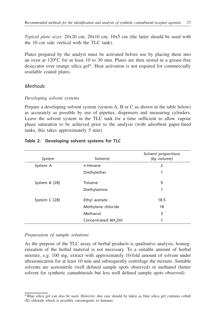*Typical plate sizes*: 20x20 cm; 20x10 cm; 10x5 cm (the latter should be used with the 10 cm side vertical with the TLC tank).

Plates prepared by the analyst must be activated before use by placing them into an oven at  $120^{\circ}$ C for at least 10 to 30 min. Plates are then stored in a grease-free desiccator over orange silica gel\*. Heat activation is not required for commercially available coated plates.

### *Methods*

#### *Developing solvent systems*

Prepare a developing solvent system (system A, B or C as shown in the table below) as accurately as possible by use of pipettes, dispensers and measuring cylinders. Leave the solvent system in the TLC tank for a time sufficient to allow vapour phase saturation to be achieved prior to the analysis (with adsorbent paper-lined tanks, this takes approximately 5 min).

| System        | Solvents                        | Solvent proportions<br>(by volume) |
|---------------|---------------------------------|------------------------------------|
| System A      | $n$ -Hexane                     | 2                                  |
|               | Diethylether                    | 1                                  |
| System B [28] | Toluene                         | 9                                  |
|               | Diethylamine                    | 1                                  |
| System C [28] | Ethyl acetate                   | 18.5                               |
|               | Methylene chloride              | 18                                 |
|               | Methanol                        | 3                                  |
|               | Concentrated NH <sub>4</sub> OH | 1                                  |

#### **Table 2. Developing solvent systems for TLC**

#### *Preparation of sample solutions*

As the purpose of the TLC assay of herbal products is qualitative analysis, homogenization of the herbal material is not necessary. To a suitable amount of herbal mixture, e.g. 100 mg, extract with approximately 10-fold amount of solvent under ultrasonication for at least 10 min and subsequently centrifuge the mixture. Suitable solvents are acetonitrile (well defined sample spots observed) or methanol (better solvent for synthetic cannabinoids but less well defined sample spots observed).

<sup>\*</sup>Blue silica gel can also be used. However, due care should be taken as blue silica gel contains cobalt (II) chloride which is possibly carcinogenic to humans.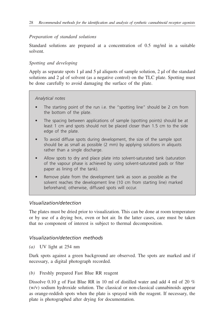### *Preparation of standard solutions*

Standard solutions are prepared at a concentration of 0.5 mg/ml in a suitable solvent.

### *Spotting and developing*

Apply as separate spots 1  $\mu$ l and 5  $\mu$  aliquots of sample solution, 2  $\mu$  of the standard solutions and 2 µl of solvent (as a negative control) on the TLC plate. Spotting must be done carefully to avoid damaging the surface of the plate.

#### *Analytical notes*

- The starting point of the run i.e. the "spotting line" should be 2 cm from the bottom of the plate.
- The spacing between applications of sample (spotting points) should be at least 1 cm and spots should not be placed closer than 1.5 cm to the side edge of the plate.
- To avoid diffuse spots during development, the size of the sample spot should be as small as possible (2 mm) by applying solutions in aliquots rather than a single discharge.
- Allow spots to dry and place plate into solvent-saturated tank (saturation of the vapour phase is achieved by using solvent-saturated pads or filter paper as lining of the tank).
- Remove plate from the development tank as soon as possible as the solvent reaches the development line (10 cm from starting line) marked beforehand; otherwise, diffused spots will occur.

## *Visualization/detection*

The plates must be dried prior to visualization. This can be done at room temperature or by use of a drying box, oven or hot air. In the latter cases, care must be taken that no component of interest is subject to thermal decomposition.

## *Visualization/detection methods*

*(a)* UV light at 254 nm

Dark spots against a green background are observed. The spots are marked and if necessary, a digital photograph recorded.

*(b)* Freshly prepared Fast Blue RR reagent

Dissolve 0.10 g of Fast Blue RR in 10 ml of distilled water and add 4 ml of 20 % (w/v) sodium hydroxide solution. The classical or non-classical cannabinoids appear as orange-reddish spots when the plate is sprayed with the reagent. If necessary, the plate is photographed after drying for documentation.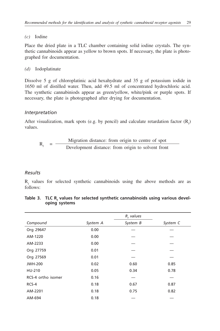#### *(c)* Iodine

Place the dried plate in a TLC chamber containing solid iodine crystals. The synthetic cannabinoids appear as yellow to brown spots. If necessary, the plate is photographed for documentation.

### *(d)* Iodoplatinate

Dissolve 5 g of chloroplatinic acid hexahydrate and 35 g of potassium iodide in 1650 ml of distilled water. Then, add 49.5 ml of concentrated hydrochloric acid. The synthetic cannabiniods appear as green/yellow, white/pink or purple spots. If necessary, the plate is photographed after drying for documentation.

### *Interpretation*

After visualization, mark spots (e.g. by pencil) and calculate retardation factor  $(R_f)$ values.

$$
Rf = \frac{Migration distance: from origin to centre of spot}{Development distance: from origin to solvent front}
$$

### *Results*

 $R_f$  values for selected synthetic cannabinoids using the above methods are as follows:

|                    |          | $R_t$ values |          |
|--------------------|----------|--------------|----------|
| Compound           | System A | System B     | System C |
| Org 29647          | 0.00     |              |          |
| AM-1220            | 0.00     |              |          |
| AM-2233            | 0.00     |              |          |
| Org 27759          | 0.01     |              |          |
| Org 27569          | 0.01     |              |          |
| <b>JWH-200</b>     | 0.02     | 0.60         | 0.85     |
| HU-210             | 0.05     | 0.34         | 0.78     |
| RCS-4 ortho isomer | 0.16     |              |          |
| $RCS-4$            | 0.18     | 0.67         | 0.87     |
| AM-2201            | 0.18     | 0.75         | 0.82     |
| AM-694             | 0.18     |              |          |

| Table 3. TLC R, values for selected synthetic cannabinoids using various devel- |
|---------------------------------------------------------------------------------|
| oping systems                                                                   |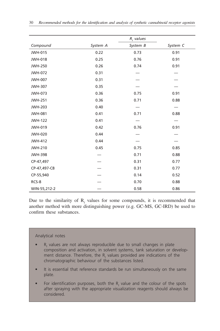|                |          | $R_t$ values |          |
|----------------|----------|--------------|----------|
| Compound       | System A | System B     | System C |
| <b>JWH-015</b> | 0.22     | 0.73         | 0.91     |
| <b>JWH-018</b> | 0.25     | 0.76         | 0.91     |
| <b>JWH-250</b> | 0.26     | 0.74         | 0.91     |
| <b>JWH-072</b> | 0.31     |              |          |
| <b>JWH-007</b> | 0.31     |              |          |
| <b>JWH-307</b> | 0.35     |              |          |
| JWH-073        | 0.36     | 0.75         | 0.91     |
| <b>JWH-251</b> | 0.36     | 0.71         | 0.88     |
| <b>JWH-203</b> | 0.40     |              |          |
| <b>JWH-081</b> | 0.41     | 0.71         | 0.88     |
| <b>JWH-122</b> | 0.41     |              |          |
| <b>JWH-019</b> | 0.42     | 0.76         | 0.91     |
| <b>JWH-020</b> | 0.44     |              |          |
| <b>JWH-412</b> | 0.44     |              |          |
| <b>JWH-210</b> | 0.45     | 0.75         | 0.85     |
| <b>JWH-398</b> |          | 0.71         | 0.88     |
| CP-47,497      |          | 0.31         | 0.77     |
| CP-47,497-C8   |          | 0.31         | 0.77     |
| CP-55,940      |          | 0.14         | 0.52     |
| RCS-8          |          | 0.70         | 0.88     |
| WIN-55,212-2   |          | 0.58         | 0.86     |

Due to the similarity of  $R_f$  values for some compounds, it is recommended that another method with more distinguishing power (e.g. GC-MS, GC-IRD) be used to confirm these substances.

## Analytical notes

- $R_f$  values are not always reproducible due to small changes in plate composition and activation, in solvent systems, tank saturation or development distance. Therefore, the  $\mathsf{R}_{\mathsf{f}}$  values provided are indications of the chromatographic behaviour of the substances listed.
- It is essential that reference standards be run simultaneously on the same plate.
- For identification purposes, both the  $R_f$  value and the colour of the spots after spraying with the appropriate visualization reagents should always be considered.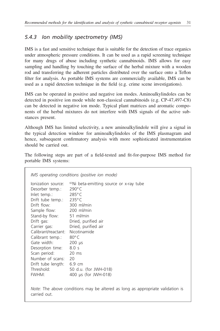# *5.4.3 Ion mobility spectrometry (IMS)*

IMS is a fast and sensitive technique that is suitable for the detection of trace organics under atmospheric pressure conditions. It can be used as a rapid screening technique for many drugs of abuse including synthetic cannabinoids. IMS allows for easy sampling and handling by touching the surface of the herbal mixture with a wooden rod and transferring the adherent particles distributed over the surface onto a Teflon filter for analysis. As portable IMS systems are commercially available, IMS can be used as a rapid detection technique in the field (e.g. crime scene investigations).

IMS can be operated in positive and negative ion modes. Aminoalkylindoles can be detected in positive ion mode while non-classical cannabinoids (e.g. CP-47,497-C8) can be detected in negative ion mode. Typical plant matrices and aromatic components of the herbal mixtures do not interfere with IMS signals of the active substances present.

Although IMS has limited selectivity, a new aminoalkylindole will give a signal in the typical detection window for aminoalkylindoles of the IMS plasmagram and hence, subsequent confirmatory analysis with more sophisticated instrumentation should be carried out.

The following steps are part of a field-tested and fit-for-purpose IMS method for portable IMS systems:

| $290^\circ$ C<br>$285^{\circ}$ C |
|----------------------------------|
|                                  |
|                                  |
| $235^{\circ}$ C                  |
| Drift flow: 300 ml/min           |
| Sample flow: 200 ml/min          |
| Stand-by flow: 51 ml/min         |
| Dried, purified air              |
| Dried, purified air              |
| Nicotinamide                     |
| $80^{\circ}$ C                   |
| $200 \mu s$                      |
| 8.0s                             |
| $20 \text{ ms}$                  |
|                                  |
| Drift tube length: 6.9 cm        |
| 50 d.u. (for JWH-018)            |
| 400 µs (for JWH-018)             |
|                                  |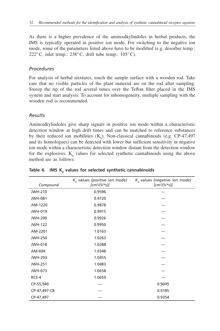As there is a higher prevalence of the aminoalkylindoles in herbal products, the IMS is typically operated in positive ion mode. For switching to the negative ion mode, some of the parameters listed above have to be modified (e.g. desorber temp.: 222 $\degree$ C, inlet temp.: 238 $\degree$ C, drift tube temp.: 105 $\degree$ C).

## *Procedures*

For analysis of herbal mixtures, touch the sample surface with a wooden rod. Take care that no visible particles of the plant material are on the rod after sampling. Sweep the tip of the rod several times over the Teflon filter placed in the IMS system and start analysis. To account for inhomogeneity, multiple sampling with the wooden rod is recommended.

## *Results*

Aminoalkylindoles give sharp signals in positive ion mode within a characteristic detection window at high drift times and can be matched to reference substances by their reduced ion mobilities  $(K_0)$ . Non-classical cannabinoids (e.g. CP-47,497 and its homologues) can be detected with lower but sufficient sensitivity in negative ion mode within a characteristic detection window distant from the detection window for the explosives.  $K_0$  values for selected synthetic cannabinoids using the above method are as follows:

| Compound       | $Ka$ values (positive ion mode)<br>$[cm^2/(V^*s)]$ | $Ko$ values (negative ion mode)<br>$[cm^2/(V^*s)]$ |
|----------------|----------------------------------------------------|----------------------------------------------------|
| <b>JWH-210</b> | 0.9596                                             |                                                    |
| <b>JWH-081</b> | 0.9720                                             |                                                    |
| AM-1220        | 0.9878                                             |                                                    |
| <b>JWH-019</b> | 0.9915                                             |                                                    |
| <b>JWH-200</b> | 0.9926                                             |                                                    |
| <b>JWH-122</b> | 0.9950                                             |                                                    |
| AM-2201        | 1.0163                                             |                                                    |
| <b>JWH-250</b> | 1.0263                                             |                                                    |
| <b>JWH-018</b> | 1.0288                                             |                                                    |
| AM-694         | 1.0348                                             |                                                    |
| <b>JWH-203</b> | 1.0455                                             |                                                    |
| <b>JWH-251</b> | 1.0483                                             |                                                    |
| JWH-073        | 1.0658                                             |                                                    |
| RCS-4          | 1.0659                                             |                                                    |
| CP-55,940      |                                                    | 0.9045                                             |
| CP-47,497-C8   |                                                    | 0.9185                                             |
| CP-47,497      |                                                    | 0.9354                                             |

**Table 4. IMS K0 values for selected synthetic cannabinoids**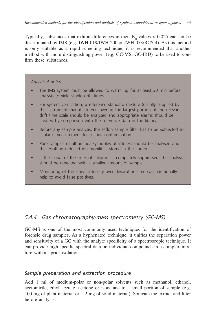Typically, substances that exhibit differences in their  $K_0$  values  $< 0.025$  can not be discriminated by IMS (e.g. JWH-019/JWH-200 or JWH-073/RCS-4). As this method is only suitable as a rapid screening technique, it is recommended that another method with more distinguishing power (e.g. GC-MS, GC-IRD) to be used to confirm these substances.

#### *Analytical notes*

- The IMS system must be allowed to warm up for at least 30 min before analysis to yield stable drift times.
- For system verification, a reference standard mixture (usually supplied by the instrument manufacturer) covering the largest portion of the relevant drift time scale should be analysed and appropriate alarms should be created by comparison with the reference data in the library.
- Before any sample analysis, the Teflon sample filter has to be subjected to a blank measurement to exclude contamination.
- Pure samples of all aminoalkylindoles of interest should be analysed and the resulting reduced ion mobilities stored in the library.
- If the signal of the internal calibrant is completely suppressed, the analysis should be repeated with a smaller amount of sample.
- Monitoring of the signal intensity over desorption time can additionally help to avoid false positives.

## *5.4.4 Gas chromatography-mass spectrometry (GC-MS)*

GC-MS is one of the most commonly used techniques for the identification of forensic drug samples. As a hyphenated technique, it unifies the separation power and sensitivity of a GC with the analyte specificity of a spectroscopic technique. It can provide high specific spectral data on individual compounds in a complex mixture without prior isolation.

### *Sample preparation and extraction procedure*

Add 1 ml of medium-polar or non-polar solvents such as methanol, ethanol, acetonitrile, ethyl acetate, acetone or isooctane to a small portion of sample (e.g. 100 mg of plant material or 1-2 mg of solid material). Sonicate the extract and filter before analysis.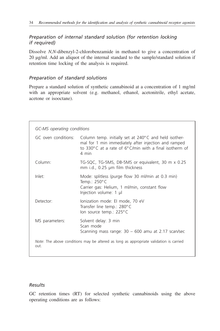## *Preparation of internal standard solution (for retention locking if required)*

Dissolve *N,N*-dibenzyl-2-chlorobenzamide in methanol to give a concentration of 20 µg/ml. Add an aliquot of the internal standard to the sample/standard solution if retention time locking of the analysis is required.

## *Preparation of standard solutions*

Prepare a standard solution of synthetic cannabinoid at a concentration of 1 mg/ml with an appropriate solvent (e.g. methanol, ethanol, acetonitrile, ethyl acetate, acetone or isooctane).

| GC oven conditions: | Column temp. initially set at 240°C and held isother-<br>mal for 1 min immediately after injection and ramped<br>to 330 $\degree$ C at a rate of 6 $\degree$ C/min with a final isotherm of<br>4 min |
|---------------------|------------------------------------------------------------------------------------------------------------------------------------------------------------------------------------------------------|
| Column:             | TG-SQC, TG-5MS, DB-5MS or equivalent, 30 m x 0.25<br>$mm$ i.d., 0.25 $µm$ film thickness                                                                                                             |
| Inlet:              | Mode: splitless (purge flow 30 ml/min at 0.3 min)<br>Temp.: $250^{\circ}$ C<br>Carrier gas: Helium, 1 ml/min, constant flow<br>Injection volume: 1 µl                                                |
| Detector:           | lonization mode: El mode, 70 eV<br>Transfer line temp.: 280°C<br>lon source temp.: 225°C                                                                                                             |
| MS parameters:      | Solvent delay: 3 min<br>Scan mode<br>Scanning mass range: $30 - 600$ amu at 2.17 scan/sec                                                                                                            |
| out.                | <i>Note:</i> The above conditions may be altered as long as appropriate validation is carried                                                                                                        |

## *Results*

GC retention times (RT) for selected synthetic cannabinoids using the above operating conditions are as follows: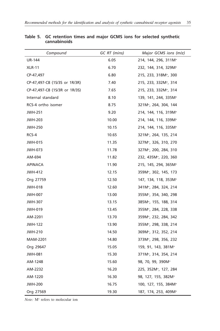| Compound                      | GC RT (mins) | Major GCMS ions (m/z)             |
|-------------------------------|--------------|-----------------------------------|
| <b>UR-144</b>                 | 6.05         | 214, 144, 296, 311M <sup>+</sup>  |
| <b>XLR-11</b>                 | 6.70         | 232, 144, 314, 329M <sup>+</sup>  |
| CP-47,497                     | 6.80         | 215, 233, 318M <sup>+</sup> , 300 |
| CP-47,497-C8 (1S/3S or 1R/3R) | 7.40         | 215, 233, 332M <sup>+</sup> , 314 |
| CP-47,497-C8 (1S/3R or 1R/3S) | 7.65         | 215, 233, 332M <sup>+</sup> , 314 |
| Internal standard             | 8.10         | 139, 141, 244, 335M <sup>+</sup>  |
| RCS-4 ortho isomer            | 8.75         | 321M <sup>+</sup> , 264, 304, 144 |
| <b>JWH-251</b>                | 9.20         | 214, 144, 116, 319M <sup>+</sup>  |
| <b>JWH-203</b>                | 10.00        | 214, 144, 116, 339M <sup>+</sup>  |
| <b>JWH-250</b>                | 10.15        | 214, 144, 116, 335M <sup>+</sup>  |
| RCS-4                         | 10.65        | 321M <sup>+</sup> , 264, 135, 214 |
| <b>JWH-015</b>                | 11.35        | 327M <sup>+</sup> , 326, 310, 270 |
| JWH-073                       | 11.78        | 327M <sup>+</sup> , 200, 284, 310 |
| AM-694                        | 11.82        | 232, 435M <sup>+</sup> , 220, 360 |
| APINACA                       | 11.90        | 215, 145, 294, 365M <sup>+</sup>  |
| <b>JWH-412</b>                | 12.15        | 359M <sup>+</sup> , 302, 145, 173 |
| Org 27759                     | 12.50        | 147, 134, 118, 353M <sup>+</sup>  |
| <b>JWH-018</b>                | 12.60        | 341M <sup>+</sup> , 284, 324, 214 |
| <b>JWH-007</b>                | 13.00        | 355M <sup>+</sup> , 354, 340, 298 |
| <b>JWH-307</b>                | 13.15        | 385M <sup>+</sup> , 155, 188, 314 |
| <b>JWH-019</b>                | 13.45        | 355M <sup>+</sup> , 284, 228, 338 |
| AM-2201                       | 13.70        | 359M <sup>+</sup> , 232, 284, 342 |
| <b>JWH-122</b>                | 13.90        | 355M <sup>+</sup> , 298, 338, 214 |
| <b>JWH-210</b>                | 14.50        | 369M <sup>+</sup> , 312, 352, 214 |
| MAM-2201                      | 14.80        | 373M <sup>+</sup> , 298, 356, 232 |
| Org 29647                     | 15.05        | 159, 91, 143, 381M <sup>+</sup>   |
| <b>JWH-081</b>                | 15.30        | 371M <sup>+</sup> , 314, 354, 214 |
| AM-1248                       | 15.60        | 98, 70, 99, 390M <sup>+</sup>     |
| AM-2232                       | 16.20        | 225, 352M <sup>+</sup> , 127, 284 |
| AM-1220                       | 16.30        | 98, 127, 155, 382M <sup>+</sup>   |
| <b>JWH-200</b>                | 16.75        | 100, 127, 155, 384M <sup>+</sup>  |
| Org 27569                     | 19.30        | 187, 174, 253, 409M <sup>+</sup>  |

**Table 5. GC retention times and major GCMS ions for selected synthetic cannabinoids**

*Note:* M+ refers to molecular ion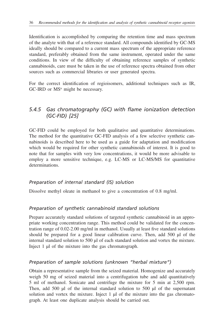Identification is accomplished by comparing the retention time and mass spectrum of the analyte with that of a reference standard. All compounds identified by GC-MS ideally should be compared to a current mass spectrum of the appropriate reference standard, preferably obtained from the same instrument, operated under the same conditions. In view of the difficulty of obtaining reference samples of synthetic cannabinoids, care must be taken in the use of reference spectra obtained from other sources such as commercial libraries or user generated spectra.

For the correct identification of regioisomers, additional techniques such as IR,  $GC$ -IRD or  $MS<sup>n</sup>$  might be necessary.

# *5.4.5 Gas chromatography (GC) with flame ionization detection (GC-FID) [25]*

GC-FID could be employed for both qualitative and quantitative determinations. The method for the quantitative GC-FID analysis of a few selective synthetic cannabinoids is described here to be used as a guide for adaptation and modification which would be required for other synthetic cannabinoids of interest. It is good to note that for samples with very low concentrations, it would be more advisable to employ a more sensitive technique, e.g. LC-MS or LC-MS/MS for quantitative determinations.

### *Preparation of internal standard (IS) solution*

Dissolve methyl oleate in methanol to give a concentration of 0.8 mg/ml.

### *Preparation of synthetic cannabinoid standard solutions*

Prepare accurately standard solutions of targeted synthetic cannabinoid in an appropriate working concentration range. This method could be validated for the concentration range of 0.02-2.00 mg/ml in methanol. Usually at least five standard solutions should be prepared for a good linear calibration curve. Then, add 500 µl of the internal standard solution to 500 µl of each standard solution and vortex the mixture. Inject 1 µl of the mixture into the gas chromatograph.

### *Preparation of sample solutions (unknown "herbal mixture")*

Obtain a representative sample from the seized material. Homogenize and accurately weigh 50 mg of seized material into a centrifugation tube and add quantitatively 5 ml of methanol. Sonicate and centrifuge the mixture for 5 min at 2,500 rpm. Then, add 500  $\mu$ l of the internal standard solution to 500  $\mu$ l of the supernatant solution and vortex the mixture. Inject  $1 \mu$ l of the mixture into the gas chromatograph. At least one duplicate analysis should be carried out.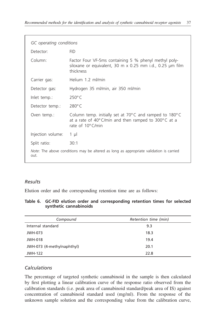| GC operating conditions                                                                        |                                                                                                                                                                            |  |  |
|------------------------------------------------------------------------------------------------|----------------------------------------------------------------------------------------------------------------------------------------------------------------------------|--|--|
| Detector:                                                                                      | <b>FID</b>                                                                                                                                                                 |  |  |
| Column:                                                                                        | Factor Four VF-5ms containing 5 % phenyl methyl poly-<br>siloxane or equivalent, 30 m x 0.25 mm i.d., 0.25 µm film<br>thickness                                            |  |  |
| Carrier gas:                                                                                   | Helium 1.2 ml/min                                                                                                                                                          |  |  |
| Detector gas:                                                                                  | Hydrogen 35 ml/min, air 350 ml/min                                                                                                                                         |  |  |
| Inlet temp.:                                                                                   | $250^{\circ}$ C                                                                                                                                                            |  |  |
| Detector temp.:                                                                                | $280^{\circ}$ C                                                                                                                                                            |  |  |
| Oven temp.:                                                                                    | Column temp. initially set at $70^{\circ}$ C and ramped to 180 $^{\circ}$ C<br>at a rate of $40^{\circ}$ C/min and then ramped to $300^{\circ}$ C at a<br>rate of 10°C/min |  |  |
| Injection volume:                                                                              | $1 \mu$                                                                                                                                                                    |  |  |
| Split ratio:                                                                                   | 30:1                                                                                                                                                                       |  |  |
| Note: The above conditions may be altered as long as appropriate validation is carried<br>out. |                                                                                                                                                                            |  |  |

### *Results*

Elution order and the corresponding retention time are as follows:

| Table 6. GC-FID elution order and corresponding retention times for selected |  |  |  |
|------------------------------------------------------------------------------|--|--|--|
| synthetic cannabinoids                                                       |  |  |  |

| Compound                   | Retention time (min) |
|----------------------------|----------------------|
| Internal standard          | 9.3                  |
| JWH-073                    | 18.3                 |
| <b>JWH-018</b>             | 19.4                 |
| JWH-073 (4-methylnaphthyl) | 20.1                 |
| <b>JWH-122</b>             | 22.8                 |

## *Calculations*

The percentage of targeted synthetic cannabinoid in the sample is then calculated by first plotting a linear calibration curve of the response ratio observed from the calibration standards (i.e. peak area of cannabinoid standard/peak area of IS) against concentration of cannabinoid standard used (mg/ml). From the response of the unknown sample solution and the corresponding value from the calibration curve,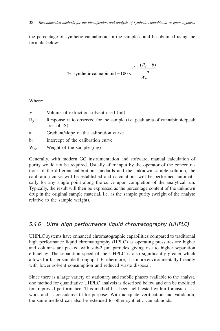the percentage of synthetic cannabinoid in the sample could be obtained using the formula below:

% synthetic canonical = 
$$
100 \times \frac{V \times \frac{(R_s - b)}{a}}{W_s}
$$

Where;

- V: Volume of extraction solvent used (ml)
- $R<sub>g</sub>$ : Response ratio observed for the sample (i.e. peak area of cannabinoid/peak area of IS)
- a: Gradient/slope of the calibration curve
- b: Intercept of the calibration curve
- $W_s$ : Weight of the sample  $(mg)$

Generally, with modern GC instrumentation and software, manual calculation of purity would not be required. Usually after input by the operator of the concentrations of the different calibration standards and the unknown sample solution, the calibration curve will be established and calculations will be performed automatically for any single point along the curve upon completion of the analytical run. Typically, the result will then be expressed as the percentage content of the unknown drug in the original sample material, i.e. as the sample purity (weight of the analyte relative to the sample weight).

## *5.4.6 Ultra high performance liquid chromatography (UHPLC)*

UHPLC systems have enhanced chromatographic capabilities compared to traditional high performance liquid chromatography (HPLC) as operating pressures are higher and columns are packed with sub-2 µm particles giving rise to higher separation efficiency. The separation speed of the UHPLC is also significantly greater which allows for faster sample throughput. Furthermore, it is more environmentally friendly with lower solvent consumption and reduced waste disposal.

Since there is a large variety of stationary and mobile phases available to the analyst, one method for quantitative UHPLC analysis is described below and can be modified for improved performance. This method has been field-tested within forensic casework and is considered fit-for-purpose. With adequate verification and validation, the same method can also be extended to other synthetic cannabinoids.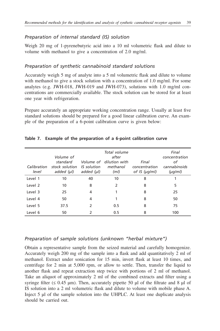### *Preparation of internal standard (IS) solution*

Weigh 20 mg of 1-pyrenebutyric acid into a 10 ml volumetric flask and dilute to volume with methanol to give a concentration of 2.0 mg/ml.

### *Preparation of synthetic cannabinoid standard solutions*

Accurately weigh 5 mg of analyte into a 5 ml volumetric flask and dilute to volume with methanol to give a stock solution with a concentration of 1.0 mg/ml. For some analytes (e.g. JWH-018, JWH-019 and JWH-073), solutions with 1.0 mg/ml concentrations are commercially available. The stock solution can be stored for at least one year with refrigeration.

Prepare accurately an appropriate working concentration range. Usually at least five standard solutions should be prepared for a good linear calibration curve. An example of the preparation of a 6-point calibration curve is given below:

| Calibration<br>level | Volume of<br>standard<br>stock solution<br>added $(\mu l)$ | <b>IS</b> solution<br>added $(\mu l)$ | Total volume<br>after<br>Volume of dilution with<br>methanol<br>(ml) | Final<br>concentration<br>of IS (µg/ml) | Final<br>concentration<br>оf<br>cannabinoids<br>$(\mu q/m)$ |
|----------------------|------------------------------------------------------------|---------------------------------------|----------------------------------------------------------------------|-----------------------------------------|-------------------------------------------------------------|
| Level 1              | 10                                                         | 40                                    | 10                                                                   | 8                                       |                                                             |
| Level 2              | 10                                                         | 8                                     | 2                                                                    | 8                                       | 5                                                           |
| Level 3              | 25                                                         | 4                                     |                                                                      | 8                                       | 25                                                          |
| Level 4              | 50                                                         | 4                                     |                                                                      | 8                                       | 50                                                          |
| Level 5              | 37.5                                                       | $\mathcal{P}$                         | 0.5                                                                  | 8                                       | 75                                                          |
| Level 6              | 50                                                         | 2                                     | 0.5                                                                  | 8                                       | 100                                                         |

#### **Table 7. Example of the preparation of a 6-point calibration curve**

#### *Preparation of sample solutions (unknown "herbal mixture")*

Obtain a representative sample from the seized material and carefully homogenize. Accurately weigh 200 mg of the sample into a flask and add quantitatively 2 ml of methanol. Extract under sonication for 15 min, invert flask at least 10 times, and centrifuge for 2 min at 5,000 rpm, or allow to settle. Then, transfer the liquid to another flask and repeat extraction step twice with portions of 2 ml of methanol. Take an aliquot of approximately 2 ml of the combined extracts and filter using a syringe filter ( $\leq 0.45$  µm). Then, accurately pipette 50 µl of the filtrate and 8 µl of IS solution into a 2 ml volumetric flask and dilute to volume with mobile phase A. Inject 5 µl of the sample solution into the UHPLC. At least one duplicate analysis should be carried out.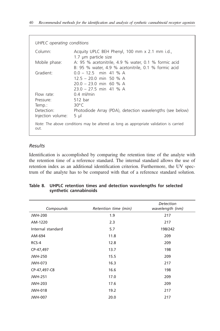| UHPLC operating conditions |                                                                                                              |  |  |  |
|----------------------------|--------------------------------------------------------------------------------------------------------------|--|--|--|
| Column:                    | Acquity UPLC BEH Phenyl, 100 mm x 2.1 mm i.d.,<br>1.7 µm particle size                                       |  |  |  |
| Mobile phase:              | A: 95 % acetonitrile, 4.9 % water, 0.1 % formic acid<br>B: 95 % water, 4.9 % acetonitrile, 0.1 % formic acid |  |  |  |
| Gradient:                  | $0.0 - 12.5$ min 41 % A<br>$125 - 200$ min 50 % A<br>$20.0 - 23.0$ min 60 % A<br>$23.0 - 27.5$ min 41 % A    |  |  |  |
| Flow rate:                 | $0.4$ ml/min                                                                                                 |  |  |  |
| Pressure:                  | 512 bar                                                                                                      |  |  |  |
| Temp.:                     | $30^{\circ}$ C                                                                                               |  |  |  |
| Detection:                 | Photodiode Array (PDA), detection wavelengths (see below)                                                    |  |  |  |
| Injection volume:          | $5 \mu$                                                                                                      |  |  |  |
| out.                       | Note: The above conditions may be altered as long as appropriate validation is carried                       |  |  |  |

### *Results*

Identification is accomplished by comparing the retention time of the analyte with the retention time of a reference standard. The internal standard allows the use of retention index as an additional identification criterion. Furthermore, the UV spectrum of the analyte has to be compared with that of a reference standard solution.

| Compounds         | Retention time (min) | Detection<br>wavelength (nm) |
|-------------------|----------------------|------------------------------|
| <b>JWH-200</b>    | 1.9                  | 217                          |
| AM-1220           | 2.3                  | 217                          |
| Internal standard | 5.7                  | 198/242                      |
| AM-694            | 11.8                 | 209                          |
| RCS-4             | 12.8                 | 209                          |
| CP-47,497         | 13.7                 | 198                          |
| <b>JWH-250</b>    | 15.5                 | 209                          |
| JWH-073           | 16.3                 | 217                          |
| CP-47,497-C8      | 16.6                 | 198                          |
| <b>JWH-251</b>    | 17.0                 | 209                          |
| <b>JWH-203</b>    | 17.6                 | 209                          |
| <b>JWH-018</b>    | 19.2                 | 217                          |
| <b>JWH-007</b>    | 20.0                 | 217                          |

#### **Table 8. UHPLC retention times and detection wavelengths for selected synthetic cannabinoids**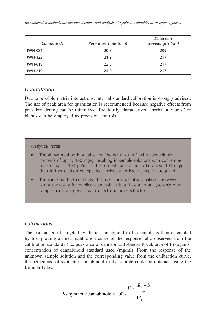| Compounds      | Retention time (min) | <b>Detection</b><br>wavelength (nm) |
|----------------|----------------------|-------------------------------------|
| <b>JWH-081</b> | 20.6                 | 209                                 |
| <b>JWH-122</b> | 21.9                 | 217                                 |
| <b>JWH-019</b> | 22.5                 | 217                                 |
| JWH-210        | 24.0                 | 217                                 |

#### *Quantitation*

Due to possible matrix interactions, internal standard calibration is strongly advised. The use of peak area for quantitation is recommended because negative effects from peak broadening can be minimized. Previously characterized "herbal mixtures" or blends can be employed as precision controls.

#### Analytical notes

- The above method is suitable for "herbal mixtures" with cannabinoid contents of up to 100 mg/g, resulting in sample solutions with concentrations of up to 100 µg/ml. If the contents are found to be above 100 mg/g, then further dilution or repeated analysis with lesser sample is required.
- The same method could also be used for qualitative analyses, however it is not necessary for duplicate analysis. It is sufficient to analyse only one sample per homogenate with direct one-time extraction.

### *Calculations*

The percentage of targeted synthetic cannabinoid in the sample is then calculated by first plotting a linear calibration curve of the response ratio observed from the calibration standards (i.e. peak area of cannabinoid standard/peak area of IS) against concentration of cannabinoid standard used (mg/ml). From the response of the unknown sample solution and the corresponding value from the calibration curve, the percentage of synthetic cannabinoid in the sample could be obtained using the formula below:

% synthetic canonical = 
$$
100 \times \frac{V \times \frac{(R_s - b)}{a}}{W_s}
$$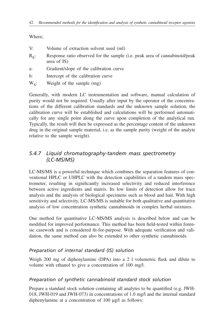Where;

- V: Volume of extraction solvent used (ml)
- $R<sub>c</sub>$ : Response ratio observed for the sample (i.e. peak area of cannabinoid/peak area of IS)
- a: Gradient/slope of the calibration curve
- b: Intercept of the calibration curve
- $W<sub>e</sub>$ : Weight of the sample (mg)

Generally, with modern LC instrumentation and software, manual calculation of purity would not be required. Usually after input by the operator of the concentrations of the different calibration standards and the unknown sample solution, the calibration curve will be established and calculations will be performed automatically for any single point along the curve upon completion of the analytical run. Typically, the result will then be expressed as the percentage content of the unknown drug in the original sample material, i.e. as the sample purity (weight of the analyte relative to the sample weight).

# *5.4.7 Liquid chromatography-tandem mass spectrometry (LC-MS/MS)*

LC-MS/MS is a powerful technique which combines the separation features of conventional HPLC or UHPLC with the detection capabilities of a tandem mass spectrometer, resulting in significantly increased selectivity and reduced interference between active ingredients and matrix. Its low limits of detection allow for trace analysis and the analysis of biological specimens such as blood and hair. With high sensitivity and selectivity, LC-MS/MS is suitable for both qualitative and quantitative analysis of low concentration synthetic cannabinoids in complex herbal mixtures.

One method for quantitative LC-MS/MS analysis is described below and can be modified for improved performance. This method has been field-tested within forensic casework and is considered fit-for-purpose. With adequate verification and validation, the same method can also be extended to other synthetic cannabinoids.

### *Preparation of internal standard (IS) solution*

Weigh 200 mg of diphenylamine (DPA) into a 2 l volumetric flask and dilute to volume with ethanol to give a concentration of 100 mg/l.

### *Preparation of synthetic cannabinoid standard stock solution*

Prepare a standard stock solution containing all analytes to be quantified (e.g. JWH-018, JWH-019 and JWH-073) in concentrations of 1.0 mg/l and the internal standard diphenylamine at a concentration of 100 µg/l as follows: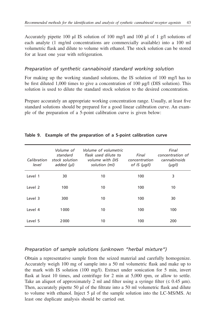Accurately pipette 100 µl IS solution of 100 mg/l and 100 µl of 1 g/l solutions of each analyte (1 mg/ml concentrations are commercially available) into a 100 ml volumetric flask and dilute to volume with ethanol. The stock solution can be stored for at least one year with refrigeration.

### *Preparation of synthetic cannabinoid standard working solution*

For making up the working standard solutions, the IS solution of 100 mg/l has to be first diluted 1,000 times to give a concentration of 100 µg/l (DIS solution). This solution is used to dilute the standard stock solution to the desired concentration.

Prepare accurately an appropriate working concentration range. Usually, at least five standard solutions should be prepared for a good linear calibration curve. An example of the preparation of a 5-point calibration curve is given below:

| Calibration<br>level | Volume of<br>standard<br>stock solution<br>added $(\mu l)$ | Volume of volumetric<br>flask used dilute to<br>volume with DIS<br>solution (ml) | Final<br>concentration<br>of IS $(\mu q)$ | Final<br>concentration of<br>cannabinoids<br>$(\mu q)$ |
|----------------------|------------------------------------------------------------|----------------------------------------------------------------------------------|-------------------------------------------|--------------------------------------------------------|
| Level 1              | 30                                                         | 10                                                                               | 100                                       | 3                                                      |
| Level 2              | 100                                                        | 10                                                                               | 100                                       | 10                                                     |
| Level 3              | 300                                                        | 10                                                                               | 100                                       | 30                                                     |
| Level 4              | 1000                                                       | 10                                                                               | 100                                       | 100                                                    |
| Level 5              | 2000                                                       | 10                                                                               | 100                                       | 200                                                    |

#### **Table 9. Example of the preparation of a 5-point calibration curve**

## *Preparation of sample solutions (unknown "herbal mixture")*

Obtain a representative sample from the seized material and carefully homogenize. Accurately weigh 100 mg of sample into a 50 ml volumetric flask and make up to the mark with IS solution (100 mg/l). Extract under sonication for 5 min, invert flask at least 10 times, and centrifuge for 2 min at 5,000 rpm, or allow to settle. Take an aliquot of approximately 2 ml and filter using a syringe filter  $(\leq 0.45 \text{ }\mu\text{m})$ . Then, accurately pipette 50 µl of the filtrate into a 50 ml volumetric flask and dilute to volume with ethanol. Inject 5 µl of the sample solution into the LC-MS/MS. At least one duplicate analysis should be carried out.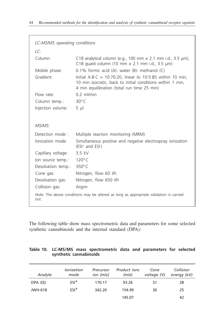| LC-MS/MS operating conditions |                                                                                                                                                                            |
|-------------------------------|----------------------------------------------------------------------------------------------------------------------------------------------------------------------------|
| LC:                           |                                                                                                                                                                            |
| Column:                       | C18 analytical column (e.g., 100 mm $\times$ 2.1 mm i.d., 3.5 µm),<br>C18 guard column (10 mm $\times$ 2.1 mm i.d., 3.5 µm)                                                |
| Mobile phase:                 | $0.1\%$ formic acid (A): water (B): methanol (C)                                                                                                                           |
| Gradient:                     | Initial A:B:C = $10:70:20$ , linear to 10:5:85 within 10 min,<br>10 min isocratic, back to initial conditions within 1 min,<br>4 min equilibration (total run time 25 min) |
| Flow rate:                    | $0.2$ ml/min                                                                                                                                                               |
| Column temp.:                 | 30°C                                                                                                                                                                       |
| Injection volume:             | $5 \mu$                                                                                                                                                                    |
|                               |                                                                                                                                                                            |
| MS/MS:                        |                                                                                                                                                                            |
| Detection mode:               | Multiple reaction monitoring (MRM)                                                                                                                                         |
| lonization mode:              | Simultaneous positive and negative electrospray ionization<br>$(ESI+$ and $ESI+$                                                                                           |
| Capillary voltage:            | 3.5 kV                                                                                                                                                                     |
| lon source temp.:             | $120^{\circ}$ C                                                                                                                                                            |
| Desolvation temp.:            | $350^{\circ}$ C                                                                                                                                                            |
| Cone gas:                     | Nitrogen, flow 60 l/h                                                                                                                                                      |
| Desolvation gas:              | Nitrogen, flow 650 l/h                                                                                                                                                     |
| Collision gas:                | Argon                                                                                                                                                                      |
| out.                          | Note: The above conditions may be altered as long as appropriate validation is carried                                                                                     |

The following table show mass spectrometric data and parameters for some selected synthetic cannabinoids and the internal standard (DPA):

|                        | Table 10. LC-MS/MS mass spectrometric data and parameters for selected |  |  |  |
|------------------------|------------------------------------------------------------------------|--|--|--|
| synthetic cannabinoids |                                                                        |  |  |  |

| Analyte        | Ionization<br>mode | Precursor<br>$ion$ ( $m/z$ ) | Product <i>ions</i><br>(m/z) | Cone<br>voltage (V) | Collision<br>energy (eV) |
|----------------|--------------------|------------------------------|------------------------------|---------------------|--------------------------|
| DPA (IS)       | $ESI^+$            | 170.17                       | 93.26                        | 31                  | 28                       |
| <b>JWH-018</b> | $FSI^+$            | 342.20                       | 154.99                       | 30                  | 25                       |
|                |                    |                              | 145.07                       |                     | 42                       |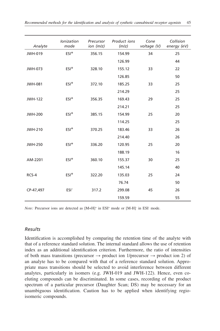|                | Ionization       | Precursor | Product ions | Cone        | Collision   |
|----------------|------------------|-----------|--------------|-------------|-------------|
| Analyte        | mode             | ion (m/z) | (m/z)        | voltage (V) | energy (eV) |
| <b>JWH-019</b> | $ESI^+$          | 356.15    | 154.99       | 34          | 25          |
|                |                  |           | 126.99       |             | 44          |
| JWH-073        | $ESI^+$          | 328.10    | 155.12       | 33          | 22          |
|                |                  |           | 126.85       |             | 50          |
| <b>JWH-081</b> | $ESI+$           | 372.10    | 185.25       | 33          | 25          |
|                |                  |           | 214.29       |             | 25          |
| <b>JWH-122</b> | $ESI+$           | 356.35    | 169.43       | 29          | 25          |
|                |                  |           | 214.21       |             | 25          |
| <b>JWH-200</b> | $ESI+$           | 385.15    | 154.99       | 25          | 20          |
|                |                  |           | 114.25       |             | 25          |
| <b>JWH-210</b> | $ESI+$           | 370.25    | 183.46       | 33          | 26          |
|                |                  |           | 214.40       |             | 26          |
| <b>JWH-250</b> | $ESI+$           | 336.20    | 120.95       | 25          | 20          |
|                |                  |           | 188.19       |             | 16          |
| AM-2201        | $ESI+$           | 360.10    | 155.37       | 30          | 25          |
|                |                  |           | 145.14       |             | 40          |
| RCS-4          | $ESI+$           | 322.20    | 135.03       | 25          | 24          |
|                |                  |           | 76.74        |             | 50          |
| CP-47,497      | ESI <sup>-</sup> | 317.2     | 299.08       | 45          | 26          |
|                |                  |           | 159.59       |             | 55          |

*Note:* Precursor ions are detected as [M+H]<sup>+</sup> in ESI<sup>+</sup> mode or [M-H]<sup>-</sup> in ESI<sup>-</sup> mode.

#### *Results*

Identification is accomplished by comparing the retention time of the analyte with that of a reference standard solution. The internal standard allows the use of retention index as an additional identification criterion. Furthermore, the ratio of intensities of both mass transitions (precursor  $\rightarrow$  product ion 1/precursor  $\rightarrow$  product ion 2) of an analyte has to be compared with that of a reference standard solution. Appropriate mass transitions should be selected to avoid interference between different analytes, particularly in isomers (e.g. JWH-019 and JWH-122). Hence, even coeluting compounds can be discriminated. In some cases, recording of the product spectrum of a particular precursor (Daughter Scan; DS) may be necessary for an unambiguous identification. Caution has to be applied when identifying regioisomeric compounds.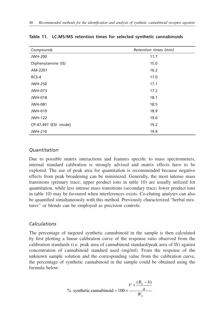| Compounds            | Retention times (min) |
|----------------------|-----------------------|
| <b>JWH-200</b>       | 11.7                  |
| Diphenylamine (IS)   | 15.0                  |
| AM-2201              | 16.2                  |
| RCS-4                | 17.0                  |
| <b>JWH-250</b>       | 17.1                  |
| JWH-073              | 17.2                  |
| <b>JWH-018</b>       | 18.1                  |
| <b>JWH-081</b>       | 18.5                  |
| <b>JWH-019</b>       | 18.9                  |
| <b>JWH-122</b>       | 19.0                  |
| CP-47,497 (ESI mode) | 19.2                  |
| <b>JWH-210</b>       | 19.9                  |

#### **Table 11. LC-MS/MS retention times for selected synthetic cannabinoids**

#### *Quantitation*

Due to possible matrix interactions and features specific to mass spectrometers, internal standard calibration is strongly advised and matrix effects have to be explored. The use of peak area for quantitation is recommended because negative effects from peak broadening can be minimized. Generally, the most intense mass transitions (primary trace; upper product ions in table 10) are usually utilized for quantitation, while less intense mass transitions (secondary trace; lower product ions in table 10) may be favoured when interferences exists. Co-eluting analytes can also be quantified simultaneously with this method. Previously characterized "herbal mixtures" or blends can be employed as precision controls.

#### *Calculations*

The percentage of targeted synthetic cannabinoid in the sample is then calculated by first plotting a linear calibration curve of the response ratio observed from the calibration standards (i.e. peak area of cannabinoid standard/peak area of IS) against concentration of cannabinoid standard used (mg/ml). From the response of the unknown sample solution and the corresponding value from the calibration curve, the percentage of synthetic cannabinoid in the sample could be obtained using the formula below:

% synthetic canonical = 
$$
100 \times \frac{V \times \frac{(R_s - b)}{a}}{W_s}
$$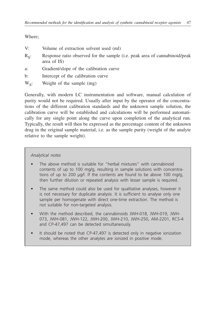Where;

- V: Volume of extraction solvent used (ml)
- $R<sub>g</sub>$ : Response ratio observed for the sample (i.e. peak area of cannabinoid/peak area of IS)
- a: Gradient/slope of the calibration curve
- b: Intercept of the calibration curve
- $W<sub>e</sub>$ : Weight of the sample (mg)

Generally, with modern LC instrumentation and software, manual calculation of purity would not be required. Usually after input by the operator of the concentrations of the different calibration standards and the unknown sample solution, the calibration curve will be established and calculations will be performed automatically for any single point along the curve upon completion of the analytical run. Typically, the result will then be expressed as the percentage content of the unknown drug in the original sample material, i.e. as the sample purity (weight of the analyte relative to the sample weight).

#### *Analytical notes*

- The above method is suitable for "herbal mixtures" with cannabinoid contents of up to 100 mg/g, resulting in sample solutions with concentrations of up to 200 µg/l. If the contents are found to be above 100 mg/g, then further dilution or repeated analysis with lesser sample is required.
- The same method could also be used for qualitative analyses, however it is not necessary for duplicate analysis. It is sufficient to analyse only one sample per homogenate with direct one-time extraction. The method is not suitable for non-targeted analysis.
- With the method described, the cannabinoids JWH-018, JWH-019, JWH-073, JWH-081, JWH-122, JWH-200, JWH-210, JWH-250, AM-2201, RCS-4 and CP-47,497 can be detected simultaneously.
- It should be noted that CP-47,497 is detected only in negative ionization mode, whereas the other analytes are ionized in positive mode.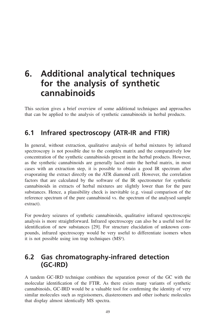# <span id="page-56-0"></span>**6. Additional analytical techniques for the analysis of synthetic cannabinoids**

This section gives a brief overview of some additional techniques and approaches that can be applied to the analysis of synthetic cannabinoids in herbal products.

# **6.1 Infrared spectroscopy (ATR-IR and FTIR)**

In general, without extraction, qualitative analysis of herbal mixtures by infrared spectroscopy is not possible due to the complex matrix and the comparatively low concentration of the synthetic cannabinoids present in the herbal products. However, as the synthetic cannabinoids are generally laced onto the herbal matrix, in most cases with an extraction step, it is possible to obtain a good IR spectrum after evaporating the extract directly on the ATR diamond cell. However, the correlation factors that are calculated by the software of the IR spectrometer for synthetic cannabinoids in extracts of herbal mixtures are slightly lower than for the pure substances. Hence, a plausibility check is inevitable (e.g. visual comparison of the reference spectrum of the pure cannabinoid vs. the spectrum of the analysed sample extract).

For powdery seizures of synthetic cannabinoids, qualitative infrared spectroscopic analysis is more straightforward. Infrared spectroscopy can also be a useful tool for identification of new substances [29]. For structure elucidation of unknown compounds, infrared spectroscopy would be very useful to differentiate isomers when it is not possible using ion trap techniques  $(MS<sup>n</sup>)$ .

# **6.2 Gas chromatography-infrared detection (GC-IRD)**

A tandem GC-IRD technique combines the separation power of the GC with the molecular identification of the FTIR. As there exists many variants of synthetic cannabinoids, GC-IRD would be a valuable tool for confirming the identity of very similar molecules such as regioisomers, diastereomers and other isobaric molecules that display almost identically MS spectra.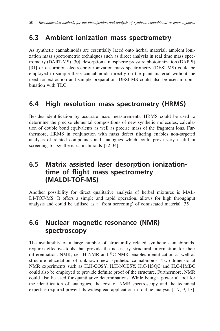# <span id="page-57-0"></span>**6.3 Ambient ionization mass spectrometry**

As synthetic cannabinoids are essentially laced onto herbal material, ambient ionization mass spectrometric techniques such as direct analysis in real time mass spectrometry (DART-MS) [30], desorption atmospheric pressure photoionization (DAPPI) [31] or desorption electrospray ionization mass spectrometry (DESI-MS) could be employed to sample these cannabinoids directly on the plant material without the need for extraction and sample preparation. DESI-MS could also be used in combination with TLC.

# **6.4 High resolution mass spectrometry (HRMS)**

Besides identification by accurate mass measurements, HRMS could be used to determine the precise elemental compositions of new synthetic molecules, calculation of double bond equivalents as well as precise mass of the fragment ions. Furthermore, HRMS in conjunction with mass defect filtering enables non-targeted analysis of related compounds and analogues which could prove very useful in screening for synthetic cannabinoids [32-34].

# **6.5 Matrix assisted laser desorption ionizationtime of flight mass spectrometry (MALDI-TOF-MS)**

Another possibility for direct qualitative analysis of herbal mixtures is MAL-DI-TOF-MS. It offers a simple and rapid operation, allows for high throughput analysis and could be utilised as a 'front screening' of confiscated material [35].

# **6.6 Nuclear magnetic resonance (NMR) spectroscopy**

The availability of a large number of structurally related synthetic cannabinoids, requires effective tools that provide the necessary structural information for their differentiation. NMR, i.e. <sup>1</sup>H NMR and <sup>13</sup>C NMR, enables identification as well as structure elucidation of unknown new synthetic cannabinoids. Two-dimensional NMR experiments such as H,H-COSY, H,H-NOESY, H,C-HSQC and H,C-HMBC could also be employed to provide definite proof of the structure. Furthermore, NMR could also be used for quantitative determinations. While being a powerful tool for the identification of analogues, the cost of NMR spectroscopy and the technical expertise required prevent its widespread application in routine analysis [5-7, 9, 17].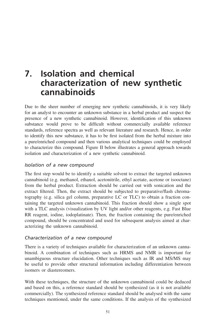# <span id="page-58-0"></span>**7. Isolation and chemical characterization of new synthetic cannabinoids**

Due to the sheer number of emerging new synthetic cannabinoids, it is very likely for an analyst to encounter an unknown substance in a herbal product and suspect the presence of a new synthetic cannabinoid. However, identification of this unknown substance would prove to be difficult without commercially available reference standards, reference spectra as well as relevant literature and research. Hence, in order to identify this new substance, it has to be first isolated from the herbal mixture into a pure/enriched compound and then various analytical techniques could be employed to characterize this compound. Figure II below illustrates a general approach towards isolation and characterization of a new synthetic cannabinoid.

### *Isolation of a new compound*

The first step would be to identify a suitable solvent to extract the targeted unknown cannabinoid (e.g. methanol, ethanol, acetonitrile, ethyl acetate, acetone or isooctane) from the herbal product. Extraction should be carried out with sonication and the extract filtered. Then, the extract should be subjected to preparative/flash chromatography (e.g. silica gel column, preparative LC or TLC) to obtain a fraction containing the targeted unknown cannabinoid. This fraction should show a single spot with a TLC analysis (visualization by UV light and/or other reagents, e.g. Fast Blue RR reagent, iodine, iodoplatinate). Then, the fraction containing the pure/enriched compound, should be concentrated and used for subsequent analysis aimed at characterizing the unknown cannabinoid.

### *Characterization of a new compound*

There is a variety of techniques available for characterization of an unknown cannabinoid. A combination of techniques such as HRMS and NMR is important for unambiguous structure elucidation. Other techniques such as IR and MS/MS may be useful to provide other structural information including differentiation between isomers or diastereomers.

With these techniques, the structure of the unknown cannabinoid could be deduced and based on this, a reference standard should be synthesized (as it is not available commercially). The synthesized reference standard should be analysed with the same techniques mentioned, under the same conditions. If the analysis of the synthesized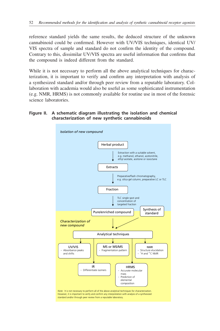reference standard yields the same results, the deduced structure of the unknown cannabinoid could be confirmed. However with UV/VIS techniques, identical UV/ VIS spectra of sample and standard do not confirm the identity of the compound. Contrary to this, dissimilar UV/VIS spectra are useful information that confirms that the compound is indeed different from the standard.

While it is not necessary to perform all the above analytical techniques for characterization, it is important to verify and confirm any interpretation with analysis of a synthesized standard and/or through peer review from a reputable laboratory. Collaboration with academia would also be useful as some sophisticated instrumentation (e.g. NMR, HRMS) is not commonly available for routine use in most of the forensic science laboratories.

#### **Figure II. A schematic diagram illustrating the isolation and chemical characterization of new synthetic cannabinoids**

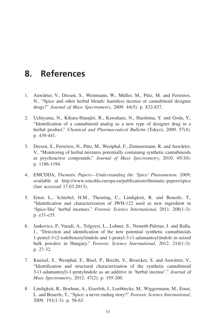# <span id="page-60-0"></span>**8. References**

- 1. Auwärter, V., Dresen, S., Weinmann, W., Müller, M., Pütz, M. and Ferreiros, N., "Spice and other herbal blends: harmless incense or cannabinoid designer drugs?" *Journal of Mass Spectrometry*, 2009. 44(5): p. 832-837.
- 2. Uchiyama, N., Kikura-Hanajiri, R., Kawahara, N., Haishima, Y. and Goda, Y., "Identification of a cannabinoid analog as a new type of designer drug in a herbal product." *Chemical and Pharmaceutical Bulletin* (Tokyo), 2009. 57(4): p. 439-441.
- 3. Dresen, S., Ferreiros, N., Pütz, M., Westphal, F., Zimmermann, R. and Auwärter, V., "Monitoring of herbal mixtures potentially containing synthetic cannabinoids as psychoactive compounds." *Journal of Mass Spectrometry*, 2010. 45(10): p. 1186-1194.
- 4. EMCDDA, *Thematic Papers—Understanding the 'Spice' Phenomenon. 2009*; available at http://www.emcdda.europa.eu/publications/thematic-papers/spice (last accessed 17.03.2013).
- 5. Ernst, L., Schiebel, H.M., Theuring, C., Lindigkeit, R. and Beuerle, T., "Identification and characterization of JWH-122 used as new ingredient in 'Spice-like' herbal incenses." *Forensic Science International*, 2011. 208(1-3): p. e31-e35.
- 6. Jankovics, P., Varadi, A., Tolgyesi, L., Lohner, S., Nemeth-Palotas, J. and Balla, J., "Detection and identification of the new potential synthetic cannabinoids 1-pentyl-3-(2-iodobenzoyl)indole and 1-pentyl-3-(1-adamantoyl)indole in seized bulk powders in Hungary." *Forensic Science International*, 2012. 214(1-3): p. 27-32.
- 7. Kneisel, S., Westphal, F., Bisel, P., Brecht, V., Broecker, S. and Auwärter, V., "Identification and structural characterization of the synthetic cannabinoid 3-(1-adamantoyl)-1-pentylindole as an additive in 'herbal incense'." *Journal of Mass Spectrometry*, 2012. 47(2): p. 195-200.
- 8. Lindigkeit, R., Boehme, A., Eiserloh, I., Luebbecke, M., Wiggermann, M., Ernst, L. and Beuerle, T., "Spice: a never ending story?" *Forensic Science International*, 2009. 191(1-3): p. 58-63.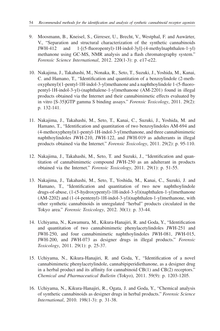- 9. Moosmann, B., Kneisel, S., Girreser, U., Brecht, V., Westphal, F. and Auwärter, V., "Separation and structural characterization of the synthetic cannabinoids JWH-412 and 1-[(5-fluoropentyl)-1H-indol-3yl]-(4-methylnaphthalen-1-yl) methanone using GC-MS, NMR analysis and a flash chromatography system." *Forensic Science International*, 2012. 220(1-3): p. e17-e22.
- 10. Nakajima, J., Takahashi, M., Nonaka, R., Seto, T., Suzuki, J., Yoshida, M., Kanai, C. and Hamano, T., "Identification and quantitation of a benzoylindole (2-methoxyphenyl)(1-pentyl-1H-indol-3-yl)methanone and a naphthoylindole 1-(5-fluoropentyl-1H-indol-3-yl)-(naphthalene-1-yl)methanone (AM-2201) found in illegal products obtained via the Internet and their cannabimimetic effects evaluated by in vitro [S-35]GTP gamma S binding assays." *Forensic Toxicology*, 2011. 29(2): p. 132-141.
- 11. Nakajima, J., Takahashi, M., Seto, T., Kanai, C., Suzuki, J., Yoshida, M. and Hamano, T., "Identification and quantitation of two benzoylindoles AM-694 and (4-methoxyphenyl)(1-pentyl-1H-indol-3-yl)methanone, and three cannabimimetic naphthoylindoles JWH-210, JWH-122, and JWH-019 as adulterants in illegal products obtained via the Internet." *Forensic Toxicology*, 2011. 29(2): p. 95-110.
- 12. Nakajima, J., Takahashi, M., Seto, T. and Suzuki, J., "Identification and quantitation of cannabimimetic compound JWH-250 as an adulterant in products obtained via the Internet." *Forensic Toxicology*, 2011. 29(1): p. 51-55.
- 13. Nakajima, J., Takahashi, M., Seto, T., Yoshida, M., Kanai, C., Suzuki, J. and Hamano, T., "Identification and quantitation of two new naphthoylindole drugs-of-abuse, (1-(5-hydroxypentyl)-1H-indol-3-yl)(naphthalen-1-yl)methanone (AM-2202) and (1-(4-pentenyl)-1H-indol-3-yl)(naphthalen-1-yl)methanone, with other synthetic cannabinoids in unregulated "herbal" products circulated in the Tokyo area." *Forensic Toxicology*, 2012. 30(1): p. 33-44.
- 14. Uchiyama, N., Kawamura, M., Kikura-Hanajiri, R. and Goda, Y., "Identification and quantitation of two cannabimimetic phenylacetylindoles JWH-251 and JWH-250, and four cannabimimetic naphthoylindoles JWH-081, JWH-015, JWH-200, and JWH-073 as designer drugs in illegal products." *Forensic Toxicology*, 2011. 29(1): p. 25-37.
- 15. Uchiyama, N., Kikura-Hanajiri, R. and Goda, Y., "Identification of a novel cannabimimetic phenylacetylindole, cannabipiperidiethanone, as a designer drug in a herbal product and its affinity for cannabinoid CB(1) and CB(2) receptors." *Chemical and Pharmaceutical Bulletin* (Tokyo), 2011. 59(9): p. 1203-1205.
- 16. Uchiyama, N., Kikura-Hanajiri, R., Ogata, J. and Goda, Y., "Chemical analysis of synthetic cannabinoids as designer drugs in herbal products." *Forensic Science International*, 2010. 198(1-3): p. 31-38.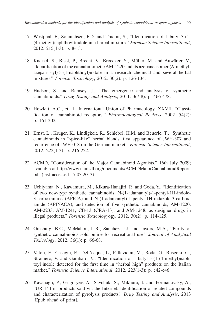- 17. Westphal, F., Sonnichsen, F.D. and Thiemt, S., "Identification of 1-butyl-3-(1- (4-methyl)naphthoyl)indole in a herbal mixture." *Forensic Science International*, 2012. 215(1-3): p. 8-13.
- 18. Kneisel, S., Bisel, P., Brecht, V., Broecker, S., Müller, M. and Auwärter, V., "Identification of the cannabimimetic AM-1220 and its azepane isomer (*N*-methylazepan-3-yl)-3-(1-naphthoyl)indole in a research chemical and several herbal mixtures." *Forensic Toxicology*, 2012. 30(2): p. 126-134.
- 19. Hudson, S. and Ramsey, J., "The emergence and analysis of synthetic cannabinoids." *Drug Testing and Analysis*, 2011. 3(7-8): p. 466-478.
- 20. Howlett, A.C., et al., International Union of Pharmacology. XXVII. "Classification of cannabinoid receptors." *Pharmacological Reviews*, 2002. 54(2): p. 161-202.
- 21. Ernst, L., Krüger, K., Lindigkeit, R., Schiebel, H.M. and Beuerle, T., "Synthetic cannabinoids in "spice-like" herbal blends: first appearance of JWH-307 and recurrence of JWH-018 on the German market." *Forensic Science International*, 2012. 222(1-3): p. 216-222.
- 22. ACMD, "Consideration of the Major Cannabinoid Agonists." 16th July 2009; available at http://www.namsdl.org/documents/ACMDMajorCannabinoidReport. pdf (last accessed 17.03.2013).
- 23. Uchiyama, N., Kawamura, M., Kikura-Hanajiri, R. and Goda, Y., "Identification of two new-type synthetic cannabinoids, N-(1-adamantyl)-1-pentyl-1H-indole-3-carboxamide (APICA) and N-(1-adamantyl)-1-pentyl-1H-indazole-3-carboxamide (APINACA), and detection of five synthetic cannabinoids, AM-1220, AM-2233, AM-1241, CB-13 (CRA-13), and AM-1248, as designer drugs in illegal products." *Forensic Toxicology*ogy, 2012. 30(2): p. 114-125.
- 24. Ginsburg, B.C., McMahon, L.R., Sanchez, J.J. and Javors, M.A., "Purity of synthetic cannabinoids sold online for recreational use." *Journal of Analytical Toxicology*, 2012. 36(1): p. 66-68.
- 25. Valoti, E., Casagni, E., Dell'acqua, L., Pallavicini, M., Roda, G., Rusconi, C., Straniero, V. and Gambaro, V., "Identification of 1-butyl-3-(1-(4-methyl)naphtoyl)indole detected for the first time in "herbal high" products on the Italian market." *Forensic Science International*, 2012. 223(1-3): p. e42-e46.
- 26. Kavanagh, P., Grigoryev, A., Savchuk, S., Mikhura, I. and Formanovsky, A., "UR-144 in products sold via the Internet: Identification of related compounds and characterization of pyrolysis products." *Drug Testing and Analysis*, 2013 [Epub ahead of print].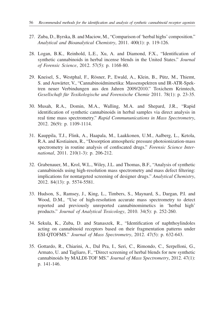- 27. Zuba, D., Byrska, B. and Maciow, M., "Comparison of 'herbal highs' composition." *Analytical and Bioanalytical Chemistry*, 2011. 400(1): p. 119-126.
- 28. Logan, B.K., Reinhold, L.E., Xu, A. and Diamond, F.X., "Identification of synthetic cannabinoids in herbal incense blends in the United States." *Journal of Forensic Science*, 2012. 57(5): p. 1168-80.
- 29. Kneisel, S., Westphal, F., Rösner, P., Ewald, A., Klein, B., Pütz, M., Thiemt, S. and Auwärter, V., "Cannabinoidmimetika: Massenspektren und IR-ATR-Spektren neuer Verbindungen aus den Jahren 2009/2010." Toxichem Krimtech, *Gesellschaft für Toxikologische und Forensische Chemie* 2011. 78(1): p. 23-35.
- 30. Musah, R.A., Domin, M.A., Walling, M.A. and Shepard, J.R., "Rapid identification of synthetic cannabinoids in herbal samples via direct analysis in real time mass spectrometry." *Rapid Commununications in Mass Spectrometry*, 2012. 26(9): p. 1109-1114.
- 31. Kauppila, T.J., Flink, A., Haapala, M., Laakkonen, U.M., Aalberg, L., Ketola, R.A. and Kostiainen, R., "Desorption atmospheric pressure photoionization-mass spectrometry in routine analysis of confiscated drugs." *Forensic Science International*, 2011. 210(1-3): p. 206-212.
- 32. Grabenauer, M., Krol, W.L., Wiley, J.L. and Thomas, B.F., "Analysis of synthetic cannabinoids using high-resolution mass spectrometry and mass defect filtering: implications for nontargeted screening of designer drugs." *Analytical Chemistry*, 2012. 84(13): p. 5574-5581.
- 33. Hudson, S., Ramsey, J., King, L., Timbers, S., Maynard, S., Dargan, P.I. and Wood, D.M., "Use of high-resolution accurate mass spectrometry to detect reported and previously unreported cannabinomimetics in 'herbal high' products." *Journal of Analytical Toxicology*, 2010. 34(5): p. 252-260.
- 34. Sekula, K., Zuba, D. and Stanaszek, R., "Identification of naphthoylindoles acting on cannabinoid receptors based on their fragmentation patterns under ESI-QTOFMS." *Journal of Mass Spectrometry*, 2012. 47(5): p. 632-643.
- 35. Gottardo, R., Chiarini, A., Dal Pra, I., Seri, C., Rimondo, C., Serpelloni, G., Armato, U. and Tagliaro, F., "Direct screening of herbal blends for new synthetic cannabinoids by MALDI-TOF MS." *Journal of Mass Spectrometry*, 2012. 47(1): p. 141-146.